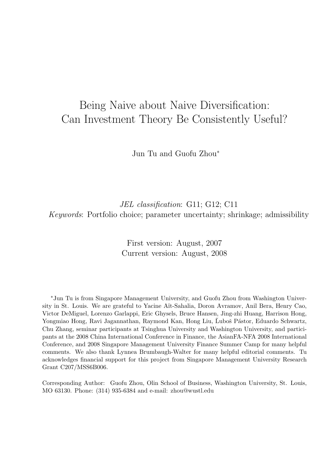# Being Naive about Naive Diversification: Can Investment Theory Be Consistently Useful?

Jun Tu and Guofu Zhou<sup>∗</sup>

JEL classification: G11; G12; C11 Keywords: Portfolio choice; parameter uncertainty; shrinkage; admissibility

> First version: August, 2007 Current version: August, 2008

∗Jun Tu is from Singapore Management University, and Guofu Zhou from Washington University in St. Louis. We are grateful to Yacine A¨ıt-Sahalia, Doron Avramov, Anil Bera, Henry Cao, Victor DeMiguel, Lorenzo Garlappi, Eric Ghysels, Bruce Hansen, Jing-zhi Huang, Harrison Hong, Yongmiao Hong, Ravi Jagannathan, Raymond Kan, Hong Liu, Luboš Pástor, Eduardo Schwartz, Chu Zhang, seminar participants at Tsinghua University and Washington University, and participants at the 2008 China International Conference in Finance, the AsianFA-NFA 2008 International Conference, and 2008 Singapore Management University Finance Summer Camp for many helpful comments. We also thank Lynnea Brumbaugh-Walter for many helpful editorial comments. Tu acknowledges financial support for this project from Singapore Management University Research Grant C207/MSS6B006.

Corresponding Author: Guofu Zhou, Olin School of Business, Washington University, St. Louis, MO 63130. Phone: (314) 935-6384 and e-mail: zhou@wustl.edu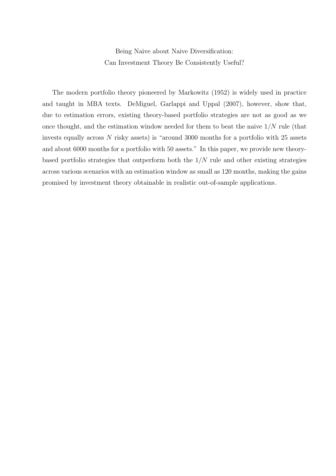Being Naive about Naive Diversification: Can Investment Theory Be Consistently Useful?

The modern portfolio theory pioneered by Markowitz (1952) is widely used in practice and taught in MBA texts. DeMiguel, Garlappi and Uppal (2007), however, show that, due to estimation errors, existing theory-based portfolio strategies are not as good as we once thought, and the estimation window needed for them to beat the naive  $1/N$  rule (that invests equally across N risky assets) is "around 3000 months for a portfolio with 25 assets and about 6000 months for a portfolio with 50 assets." In this paper, we provide new theorybased portfolio strategies that outperform both the  $1/N$  rule and other existing strategies across various scenarios with an estimation window as small as 120 months, making the gains promised by investment theory obtainable in realistic out-of-sample applications.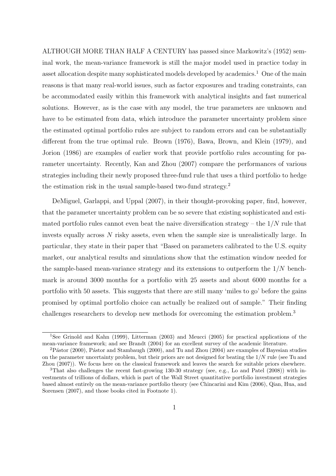ALTHOUGH MORE THAN HALF A CENTURY has passed since Markowitz's (1952) seminal work, the mean-variance framework is still the major model used in practice today in asset allocation despite many sophisticated models developed by academics.<sup>1</sup> One of the main reasons is that many real-world issues, such as factor exposures and trading constraints, can be accommodated easily within this framework with analytical insights and fast numerical solutions. However, as is the case with any model, the true parameters are unknown and have to be estimated from data, which introduce the parameter uncertainty problem since the estimated optimal portfolio rules are subject to random errors and can be substantially different from the true optimal rule. Brown (1976), Bawa, Brown, and Klein (1979), and Jorion (1986) are examples of earlier work that provide portfolio rules accounting for parameter uncertainty. Recently, Kan and Zhou (2007) compare the performances of various strategies including their newly proposed three-fund rule that uses a third portfolio to hedge the estimation risk in the usual sample-based two-fund strategy.<sup>2</sup>

DeMiguel, Garlappi, and Uppal (2007), in their thought-provoking paper, find, however, that the parameter uncertainty problem can be so severe that existing sophisticated and estimated portfolio rules cannot even beat the naive diversification strategy – the  $1/N$  rule that invests equally across  $N$  risky assets, even when the sample size is unrealistically large. In particular, they state in their paper that "Based on parameters calibrated to the U.S. equity market, our analytical results and simulations show that the estimation window needed for the sample-based mean-variance strategy and its extensions to outperform the  $1/N$  benchmark is around 3000 months for a portfolio with 25 assets and about 6000 months for a portfolio with 50 assets. This suggests that there are still many 'miles to go' before the gains promised by optimal portfolio choice can actually be realized out of sample." Their finding challenges researchers to develop new methods for overcoming the estimation problem.<sup>3</sup>

<sup>&</sup>lt;sup>1</sup>See Grinold and Kahn (1999), Litterman (2003) and Meucci (2005) for practical applications of the mean-variance framework; and see Brandt (2004) for an excellent survey of the academic literature.

<sup>&</sup>lt;sup>2</sup>Pástor (2000), Pástor and Stambaugh (2000), and Tu and Zhou (2004) are examples of Bayesian studies on the parameter uncertainty problem, but their priors are not designed for beating the  $1/N$  rule (see Tu and Zhou (2007)). We focus here on the classical framework and leaves the search for suitable priors elsewhere.

<sup>3</sup>That also challenges the recent fast-growing 130-30 strategy (see, e.g., Lo and Patel (2008)) with investments of trillions of dollars, which is part of the Wall Street quantitative portfolio investment strategies based almost entirely on the mean-variance portfolio theory (see Chincarini and Kim (2006), Qian, Hua, and Sorensen (2007), and those books cited in Footnote 1).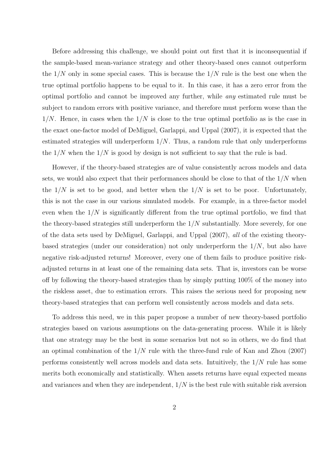Before addressing this challenge, we should point out first that it is inconsequential if the sample-based mean-variance strategy and other theory-based ones cannot outperform the  $1/N$  only in some special cases. This is because the  $1/N$  rule is the best one when the true optimal portfolio happens to be equal to it. In this case, it has a zero error from the optimal portfolio and cannot be improved any further, while any estimated rule must be subject to random errors with positive variance, and therefore must perform worse than the  $1/N$ . Hence, in cases when the  $1/N$  is close to the true optimal portfolio as is the case in the exact one-factor model of DeMiguel, Garlappi, and Uppal (2007), it is expected that the estimated strategies will underperform  $1/N$ . Thus, a random rule that only underperforms the  $1/N$  when the  $1/N$  is good by design is not sufficient to say that the rule is bad.

However, if the theory-based strategies are of value consistently across models and data sets, we would also expect that their performances should be close to that of the  $1/N$  when the  $1/N$  is set to be good, and better when the  $1/N$  is set to be poor. Unfortunately, this is not the case in our various simulated models. For example, in a three-factor model even when the  $1/N$  is significantly different from the true optimal portfolio, we find that the theory-based strategies still underperform the  $1/N$  substantially. More severely, for one of the data sets used by DeMiguel, Garlappi, and Uppal (2007), all of the existing theorybased strategies (under our consideration) not only underperform the  $1/N$ , but also have negative risk-adjusted returns! Moreover, every one of them fails to produce positive riskadjusted returns in at least one of the remaining data sets. That is, investors can be worse off by following the theory-based strategies than by simply putting 100% of the money into the riskless asset, due to estimation errors. This raises the serious need for proposing new theory-based strategies that can perform well consistently across models and data sets.

To address this need, we in this paper propose a number of new theory-based portfolio strategies based on various assumptions on the data-generating process. While it is likely that one strategy may be the best in some scenarios but not so in others, we do find that an optimal combination of the  $1/N$  rule with the three-fund rule of Kan and Zhou (2007) performs consistently well across models and data sets. Intuitively, the  $1/N$  rule has some merits both economically and statistically. When assets returns have equal expected means and variances and when they are independent,  $1/N$  is the best rule with suitable risk aversion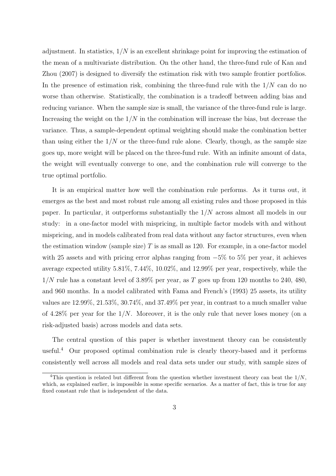adjustment. In statistics,  $1/N$  is an excellent shrinkage point for improving the estimation of the mean of a multivariate distribution. On the other hand, the three-fund rule of Kan and Zhou (2007) is designed to diversify the estimation risk with two sample frontier portfolios. In the presence of estimation risk, combining the three-fund rule with the  $1/N$  can do no worse than otherwise. Statistically, the combination is a tradeoff between adding bias and reducing variance. When the sample size is small, the variance of the three-fund rule is large. Increasing the weight on the  $1/N$  in the combination will increase the bias, but decrease the variance. Thus, a sample-dependent optimal weighting should make the combination better than using either the  $1/N$  or the three-fund rule alone. Clearly, though, as the sample size goes up, more weight will be placed on the three-fund rule. With an infinite amount of data, the weight will eventually converge to one, and the combination rule will converge to the true optimal portfolio.

It is an empirical matter how well the combination rule performs. As it turns out, it emerges as the best and most robust rule among all existing rules and those proposed in this paper. In particular, it outperforms substantially the 1/N across almost all models in our study: in a one-factor model with mispricing, in multiple factor models with and without mispricing, and in models calibrated from real data without any factor structures, even when the estimation window (sample size)  $T$  is as small as 120. For example, in a one-factor model with 25 assets and with pricing error alphas ranging from  $-5\%$  to 5% per year, it achieves average expected utility 5.81%, 7.44%, 10.02%, and 12.99% per year, respectively, while the  $1/N$  rule has a constant level of 3.89% per year, as T goes up from 120 months to 240, 480, and 960 months. In a model calibrated with Fama and French's (1993) 25 assets, its utility values are 12.99%, 21.53%, 30.74%, and 37.49% per year, in contrast to a much smaller value of 4.28% per year for the  $1/N$ . Moreover, it is the only rule that never loses money (on a risk-adjusted basis) across models and data sets.

The central question of this paper is whether investment theory can be consistently useful.<sup>4</sup> Our proposed optimal combination rule is clearly theory-based and it performs consistently well across all models and real data sets under our study, with sample sizes of

<sup>&</sup>lt;sup>4</sup>This question is related but different from the question whether investment theory can beat the  $1/N$ , which, as explained earlier, is impossible in some specific scenarios. As a matter of fact, this is true for any fixed constant rule that is independent of the data.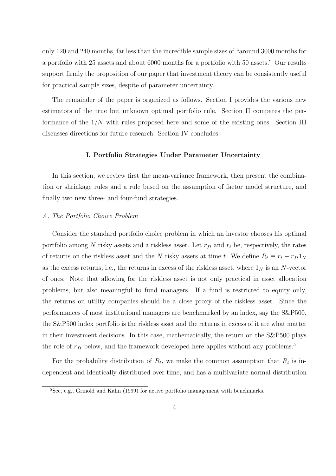only 120 and 240 months, far less than the incredible sample sizes of "around 3000 months for a portfolio with 25 assets and about 6000 months for a portfolio with 50 assets." Our results support firmly the proposition of our paper that investment theory can be consistently useful for practical sample sizes, despite of parameter uncertainty.

The remainder of the paper is organized as follows. Section I provides the various new estimators of the true but unknown optimal portfolio rule. Section II compares the performance of the  $1/N$  with rules proposed here and some of the existing ones. Section III discusses directions for future research. Section IV concludes.

#### I. Portfolio Strategies Under Parameter Uncertainty

In this section, we review first the mean-variance framework, then present the combination or shrinkage rules and a rule based on the assumption of factor model structure, and finally two new three- and four-fund strategies.

### A. The Portfolio Choice Problem

Consider the standard portfolio choice problem in which an investor chooses his optimal portfolio among N risky assets and a riskless asset. Let  $r_{ft}$  and  $r_t$  be, respectively, the rates of returns on the riskless asset and the N risky assets at time t. We define  $R_t \equiv r_t - r_{ft}1_N$ as the excess returns, i.e., the returns in excess of the riskless asset, where  $1<sub>N</sub>$  is an N-vector of ones. Note that allowing for the riskless asset is not only practical in asset allocation problems, but also meaningful to fund managers. If a fund is restricted to equity only, the returns on utility companies should be a close proxy of the riskless asset. Since the performances of most institutional managers are benchmarked by an index, say the S&P500, the S&P500 index portfolio is the riskless asset and the returns in excess of it are what matter in their investment decisions. In this case, mathematically, the return on the S&P500 plays the role of  $r_{ft}$  below, and the framework developed here applies without any problems.<sup>5</sup>

For the probability distribution of  $R_t$ , we make the common assumption that  $R_t$  is independent and identically distributed over time, and has a multivariate normal distribution

<sup>5</sup>See, e.g., Grinold and Kahn (1999) for active portfolio management with benchmarks.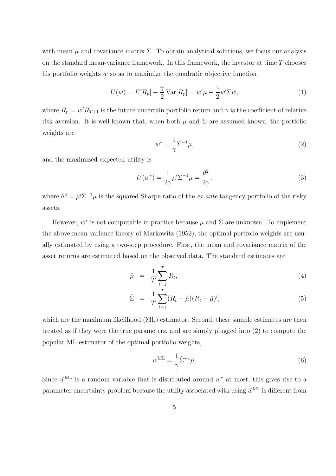with mean  $\mu$  and covariance matrix  $\Sigma$ . To obtain analytical solutions, we focus our analysis on the standard mean-variance framework. In this framework, the investor at time  $T$  chooses his portfolio weights  $w$  so as to maximize the quadratic objective function

$$
U(w) = E[R_p] - \frac{\gamma}{2} \text{Var}[R_p] = w'\mu - \frac{\gamma}{2}w'\Sigma w,\tag{1}
$$

where  $R_p = w'R_{T+1}$  is the future uncertain portfolio return and  $\gamma$  is the coefficient of relative risk aversion. It is well-known that, when both  $\mu$  and  $\Sigma$  are assumed known, the portfolio weights are

$$
w^* = \frac{1}{\gamma} \Sigma^{-1} \mu,\tag{2}
$$

and the maximized expected utility is

$$
U(w^*) = \frac{1}{2\gamma}\mu' \Sigma^{-1}\mu = \frac{\theta^2}{2\gamma},\tag{3}
$$

where  $\theta^2 = \mu' \Sigma^{-1} \mu$  is the squared Sharpe ratio of the *ex ante* tangency portfolio of the risky assets.

However,  $w^*$  is not computable in practice because  $\mu$  and  $\Sigma$  are unknown. To implement the above mean-variance theory of Markowitz (1952), the optimal portfolio weights are usually estimated by using a two-step procedure. First, the mean and covariance matrix of the asset returns are estimated based on the observed data. The standard estimates are

$$
\hat{\mu} = \frac{1}{T} \sum_{t=1}^{T} R_t,\tag{4}
$$

$$
\hat{\Sigma} = \frac{1}{T} \sum_{t=1}^{T} (R_t - \hat{\mu})(R_t - \hat{\mu})', \tag{5}
$$

which are the maximum likelihood (ML) estimator. Second, these sample estimates are then treated as if they were the true parameters, and are simply plugged into (2) to compute the popular ML estimator of the optimal portfolio weights,

$$
\hat{w}^{\text{ML}} = \frac{1}{\gamma} \hat{\Sigma}^{-1} \hat{\mu}.
$$
\n(6)

Since  $\hat{w}^{\text{ML}}$  is a random variable that is distributed around  $w^*$  at most, this gives rise to a parameter uncertainty problem because the utility associated with using  $\hat{w}^{\text{ML}}$  is different from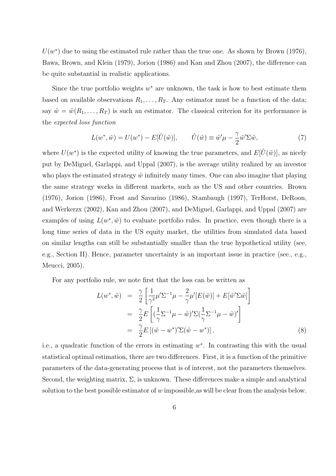$U(w^*)$  due to using the estimated rule rather than the true one. As shown by Brown (1976), Bawa, Brown, and Klein (1979), Jorion (1986) and Kan and Zhou (2007), the difference can be quite substantial in realistic applications.

Since the true portfolio weights  $w^*$  are unknown, the task is how to best estimate them based on available observations  $R_1, \ldots, R_T$ . Any estimator must be a function of the data; say  $\tilde{w} = \tilde{w}(R_1, \ldots, R_T)$  is such an estimator. The classical criterion for its performance is the expected loss function

$$
L(w^*, \tilde{w}) = U(w^*) - E[\tilde{U}(\tilde{w})], \qquad \tilde{U}(\tilde{w}) \equiv \tilde{w}'\mu - \frac{\gamma}{2}\tilde{w}'\Sigma\tilde{w}, \tag{7}
$$

where  $U(w^*)$  is the expected utility of knowing the true parameters, and  $E[\tilde{U}(\tilde{w})]$ , as nicely put by DeMiguel, Garlappi, and Uppal (2007), is the average utility realized by an investor who plays the estimated strategy  $\tilde{w}$  infinitely many times. One can also imagine that playing the same strategy works in different markets, such as the US and other countries. Brown (1976), Jorion (1986), Frost and Savarino (1986), Stambaugh (1997), TerHorst, DeRoon, and Werkerzx (2002), Kan and Zhou (2007), and DeMiguel, Garlappi, and Uppal (2007) are examples of using  $L(w^*, \tilde{w})$  to evaluate portfolio rules. In practice, even though there is a long time series of data in the US equity market, the utilities from simulated data based on similar lengths can still be substantially smaller than the true hypothetical utility (see, e.g., Section II). Hence, parameter uncertainty is an important issue in practice (see., e.g., Meucci, 2005).

For any portfolio rule, we note first that the loss can be written as

$$
L(w^*, \tilde{w}) = \frac{\gamma}{2} \left[ \frac{1}{\gamma^2} \mu' \Sigma^{-1} \mu - \frac{2}{\gamma} \mu' [E(\tilde{w})] + E[\tilde{w}' \Sigma \tilde{w}] \right]
$$
  

$$
= \frac{\gamma}{2} E \left[ (\frac{1}{\gamma} \Sigma^{-1} \mu - \tilde{w})' \Sigma (\frac{1}{\gamma} \Sigma^{-1} \mu - \tilde{w})' \right]
$$
  

$$
= \frac{\gamma}{2} E \left[ (\tilde{w} - w^*)' \Sigma (\tilde{w} - w^*) \right],
$$
 (8)

i.e., a quadratic function of the errors in estimating  $w^*$ . In contrasting this with the usual statistical optimal estimation, there are two differences. First, it is a function of the primitive parameters of the data-generating process that is of interest, not the parameters themselves. Second, the weighting matrix,  $\Sigma$ , is unknown. These differences make a simple and analytical solution to the best possible estimator of  $w$  impossible, as will be clear from the analysis below.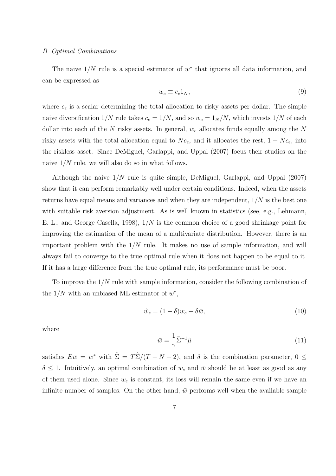#### B. Optimal Combinations

The naive  $1/N$  rule is a special estimator of  $w^*$  that ignores all data information, and can be expressed as

$$
w_e \equiv c_e 1_N,\tag{9}
$$

where  $c_e$  is a scalar determining the total allocation to risky assets per dollar. The simple naive diversification  $1/N$  rule takes  $c_e = 1/N$ , and so  $w_e = 1/N$ , which invests  $1/N$  of each dollar into each of the N risky assets. In general,  $w_e$  allocates funds equally among the N risky assets with the total allocation equal to  $Nc_e$ , and it allocates the rest,  $1 - Nc_e$ , into the riskless asset. Since DeMiguel, Garlappi, and Uppal (2007) focus their studies on the naive  $1/N$  rule, we will also do so in what follows.

Although the naive  $1/N$  rule is quite simple, DeMiguel, Garlappi, and Uppal (2007) show that it can perform remarkably well under certain conditions. Indeed, when the assets returns have equal means and variances and when they are independent,  $1/N$  is the best one with suitable risk aversion adjustment. As is well known in statistics (see, e.g., Lehmann, E. L., and George Casella, 1998), 1/N is the common choice of a good shrinkage point for improving the estimation of the mean of a multivariate distribution. However, there is an important problem with the  $1/N$  rule. It makes no use of sample information, and will always fail to converge to the true optimal rule when it does not happen to be equal to it. If it has a large difference from the true optimal rule, its performance must be poor.

To improve the 1/N rule with sample information, consider the following combination of the  $1/N$  with an unbiased ML estimator of  $w^*$ ,

$$
\hat{w}_s = (1 - \delta)w_e + \delta \bar{w},\tag{10}
$$

where

$$
\bar{w} = \frac{1}{\gamma} \tilde{\Sigma}^{-1} \hat{\mu} \tag{11}
$$

satisfies  $E\bar{w} = w^*$  with  $\tilde{\Sigma} = T\hat{\Sigma}/(T - N - 2)$ , and  $\delta$  is the combination parameter,  $0 \leq$  $\delta \leq 1$ . Intuitively, an optimal combination of  $w_e$  and  $\bar{w}$  should be at least as good as any of them used alone. Since  $w_e$  is constant, its loss will remain the same even if we have an infinite number of samples. On the other hand,  $\bar{w}$  performs well when the available sample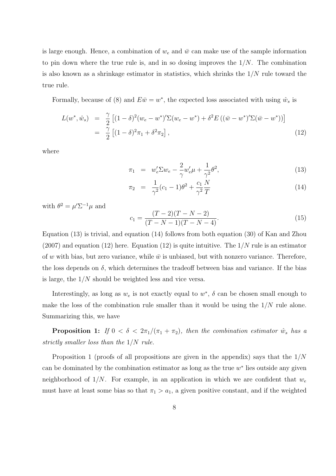is large enough. Hence, a combination of  $w_e$  and  $\bar{w}$  can make use of the sample information to pin down where the true rule is, and in so dosing improves the  $1/N$ . The combination is also known as a shrinkage estimator in statistics, which shrinks the  $1/N$  rule toward the true rule.

Formally, because of (8) and  $E\bar{w} = w^*$ , the expected loss associated with using  $\hat{w}_s$  is

$$
L(w^*, \hat{w}_s) = \frac{\gamma}{2} \left[ (1 - \delta)^2 (w_e - w^*)' \Sigma (w_e - w^*) + \delta^2 E \left( (\bar{w} - w^*)' \Sigma (\bar{w} - w^*) \right) \right]
$$
  
=  $\frac{\gamma}{2} \left[ (1 - \delta)^2 \pi_1 + \delta^2 \pi_2 \right],$  (12)

where

$$
\pi_1 = w'_e \Sigma w_e - \frac{2}{\gamma} w'_e \mu + \frac{1}{\gamma^2} \theta^2,\tag{13}
$$

$$
\pi_2 = \frac{1}{\gamma^2} (c_1 - 1)\theta^2 + \frac{c_1}{\gamma^2} \frac{N}{T}
$$
\n(14)

with  $\theta^2 = \mu' \Sigma^{-1} \mu$  and

$$
c_1 = \frac{(T-2)(T-N-2)}{(T-N-1)(T-N-4)}.\t(15)
$$

Equation (13) is trivial, and equation (14) follows from both equation (30) of Kan and Zhou  $(2007)$  and equation  $(12)$  here. Equation  $(12)$  is quite intuitive. The  $1/N$  rule is an estimator of w with bias, but zero variance, while  $\bar{w}$  is unbiased, but with nonzero variance. Therefore, the loss depends on  $\delta$ , which determines the tradeoff between bias and variance. If the bias is large, the  $1/N$  should be weighted less and vice versa.

Interestingly, as long as  $w_e$  is not exactly equal to  $w^*$ ,  $\delta$  can be chosen small enough to make the loss of the combination rule smaller than it would be using the  $1/N$  rule alone. Summarizing this, we have

**Proposition 1:** If  $0 < \delta < 2\pi_1/(\pi_1 + \pi_2)$ , then the combination estimator  $\hat{w}_s$  has a strictly smaller loss than the 1/N rule.

Proposition 1 (proofs of all propositions are given in the appendix) says that the  $1/N$ can be dominated by the combination estimator as long as the true  $w^*$  lies outside any given neighborhood of  $1/N$ . For example, in an application in which we are confident that  $w_e$ must have at least some bias so that  $\pi_1 > a_1$ , a given positive constant, and if the weighted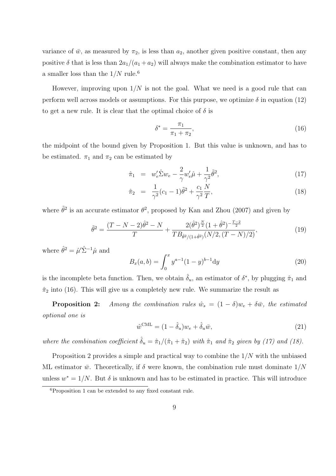variance of  $\bar{w}$ , as measured by  $\pi_2$ , is less than  $a_2$ , another given positive constant, then any positive  $\delta$  that is less than  $2a_1/(a_1 + a_2)$  will always make the combination estimator to have a smaller loss than the  $1/N$  rule.<sup>6</sup>

However, improving upon  $1/N$  is not the goal. What we need is a good rule that can perform well across models or assumptions. For this purpose, we optimize  $\delta$  in equation (12) to get a new rule. It is clear that the optimal choice of  $\delta$  is

$$
\delta^* = \frac{\pi_1}{\pi_1 + \pi_2},\tag{16}
$$

the midpoint of the bound given by Proposition 1. But this value is unknown, and has to be estimated.  $\pi_1$  and  $\pi_2$  can be estimated by

$$
\hat{\pi}_1 = w'_e \hat{\Sigma} w_e - \frac{2}{\gamma} w'_e \hat{\mu} + \frac{1}{\gamma^2} \tilde{\theta}^2,\tag{17}
$$

$$
\hat{\pi}_2 = \frac{1}{\gamma^2} (c_1 - 1) \tilde{\theta}^2 + \frac{c_1}{\gamma^2} \frac{N}{T}, \tag{18}
$$

where  $\tilde{\theta}^2$  is an accurate estimator  $\theta^2$ , proposed by Kan and Zhou (2007) and given by

$$
\tilde{\theta}^2 = \frac{(T - N - 2)\hat{\theta}^2 - N}{T} + \frac{2(\hat{\theta}^2)^{\frac{N}{2}}(1 + \hat{\theta}^2)^{-\frac{T-2}{2}}}{TB_{\hat{\theta}^2/(1 + \hat{\theta}^2)}(N/2, (T - N)/2)},
$$
\n(19)

where  $\hat{\theta}^2 = \hat{\mu}' \hat{\Sigma}^{-1} \hat{\mu}$  and

$$
B_x(a, b) = \int_0^x y^{a-1} (1-y)^{b-1} dy
$$
\n(20)

is the incomplete beta function. Then, we obtain  $\hat{\delta}_u$ , an estimator of  $\delta^*$ , by plugging  $\hat{\pi}_1$  and  $\hat{\pi}_2$  into (16). This will give us a completely new rule. We summarize the result as

**Proposition 2:** Among the combination rules  $\hat{w}_s = (1 - \delta)w_e + \delta \bar{w}$ , the estimated optional one is

$$
\hat{w}^{\text{CML}} = (1 - \hat{\delta}_u)w_e + \hat{\delta}_u \bar{w},\tag{21}
$$

where the combination coefficient  $\hat{\delta}_u = \hat{\pi}_1/(\hat{\pi}_1 + \hat{\pi}_2)$  with  $\hat{\pi}_1$  and  $\hat{\pi}_2$  given by (17) and (18).

Proposition 2 provides a simple and practical way to combine the  $1/N$  with the unbiased ML estimator  $\bar{w}$ . Theoretically, if  $\delta$  were known, the combination rule must dominate  $1/N$ unless  $w^* = 1/N$ . But  $\delta$  is unknown and has to be estimated in practice. This will introduce

<sup>6</sup>Proposition 1 can be extended to any fixed constant rule.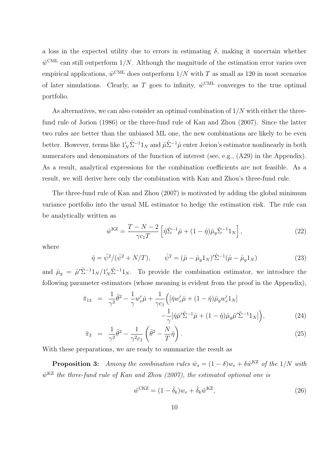a loss in the expected utility due to errors in estimating  $\delta$ , making it uncertain whether  $\hat{w}^{\text{CML}}$  can still outperform 1/N. Although the magnitude of the estimation error varies over empirical applications,  $\hat{w}^{\text{CML}}$  does outperform  $1/N$  with T as small as 120 in most scenarios of later simulations. Clearly, as T goes to infinity,  $\hat{w}^{\text{CML}}$  converges to the true optimal portfolio.

As alternatives, we can also consider an optimal combination of  $1/N$  with either the threefund rule of Jorion (1986) or the three-fund rule of Kan and Zhou (2007). Since the latter two rules are better than the unbiased ML one, the new combinations are likely to be even better. However, terms like  $1'_N \hat{\Sigma}^{-1} 1_N$  and  $\hat{\mu} \hat{\Sigma}^{-1} \hat{\mu}$  enter Jorion's estimator nonlinearly in both numerators and denominators of the function of interest (see, e.g.,  $(A29)$ ) in the Appendix). As a result, analytical expressions for the combination coefficients are not feasible. As a result, we will derive here only the combination with Kan and Zhou's three-fund rule.

The three-fund rule of Kan and Zhou (2007) is motivated by adding the global minimum variance portfolio into the usual ML estimator to hedge the estimation risk. The rule can be analytically written as

$$
\hat{w}^{\text{KZ}} = \frac{T - N - 2}{\gamma c_1 T} \left[ \hat{\eta} \hat{\Sigma}^{-1} \hat{\mu} + (1 - \hat{\eta}) \hat{\mu}_g \hat{\Sigma}^{-1} 1_N \right],\tag{22}
$$

where

$$
\hat{\eta} = \hat{\psi}^2 / (\hat{\psi}^2 + N/T), \qquad \hat{\psi}^2 = (\hat{\mu} - \hat{\mu}_g 1_N)' \hat{\Sigma}^{-1} (\hat{\mu} - \hat{\mu}_g 1_N)
$$
(23)

and  $\hat{\mu}_g = \hat{\mu}' \hat{\Sigma}^{-1} 1_N / 1_N' \hat{\Sigma}^{-1} 1_N$ . To provide the combination estimator, we introduce the following parameter estimators (whose meaning is evident from the proof in the Appendix),

$$
\hat{\pi}_{13} = \frac{1}{\gamma^2} \tilde{\theta}^2 - \frac{1}{\gamma} w_e' \hat{\mu} + \frac{1}{\gamma c_1} \Big( [\hat{\eta} w_e' \hat{\mu} + (1 - \hat{\eta}) \hat{\mu}_g w_e' \mathbb{1}_N] - \frac{1}{\gamma} [\hat{\eta} \hat{\mu}' \tilde{\Sigma}^{-1} \hat{\mu} + (1 - \hat{\eta}) \hat{\mu}_g \hat{\mu}' \tilde{\Sigma}^{-1} \mathbb{1}_N] \Big),
$$
\n(24)

$$
\hat{\pi}_3 = \frac{1}{\gamma^2} \tilde{\theta}^2 - \frac{1}{\gamma^2 c_1} \left( \tilde{\theta}^2 - \frac{N}{T} \hat{\eta} \right). \tag{25}
$$

With these preparations, we are ready to summarize the result as

**Proposition 3:** Among the combination rules  $\hat{w}_s = (1 - \delta)w_e + \delta \hat{w}^{KZ}$  of the 1/N with  $\hat{w}^{KZ}$  the three-fund rule of Kan and Zhou (2007), the estimated optional one is

$$
\hat{w}^{\text{CKZ}} = (1 - \hat{\delta}_k)w_e + \hat{\delta}_k \hat{w}^{\text{KZ}},\tag{26}
$$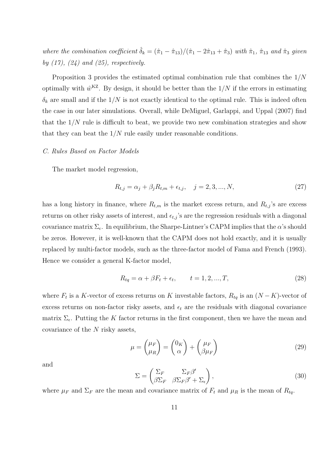where the combination coefficient  $\hat{\delta}_k = (\hat{\pi}_1 - \hat{\pi}_{13})/(\hat{\pi}_1 - 2\hat{\pi}_{13} + \hat{\pi}_3)$  with  $\hat{\pi}_1$ ,  $\hat{\pi}_{13}$  and  $\hat{\pi}_3$  given by  $(17)$ ,  $(24)$  and  $(25)$ , respectively.

Proposition 3 provides the estimated optimal combination rule that combines the 1/N optimally with  $\hat{w}^{KZ}$ . By design, it should be better than the  $1/N$  if the errors in estimating  $\delta_k$  are small and if the  $1/N$  is not exactly identical to the optimal rule. This is indeed often the case in our later simulations. Overall, while DeMiguel, Garlappi, and Uppal (2007) find that the  $1/N$  rule is difficult to beat, we provide two new combination strategies and show that they can beat the  $1/N$  rule easily under reasonable conditions.

### C. Rules Based on Factor Models

The market model regression,

$$
R_{t,j} = \alpha_j + \beta_j R_{t,m} + \epsilon_{t,j}, \quad j = 2, 3, ..., N,
$$
\n(27)

has a long history in finance, where  $R_{t,m}$  is the market excess return, and  $R_{t,j}$ 's are excess returns on other risky assets of interest, and  $\epsilon_{t,j}$ 's are the regression residuals with a diagonal covariance matrix  $\Sigma_{\epsilon}$ . In equilibrium, the Sharpe-Lintner's CAPM implies that the  $\alpha$ 's should be zeros. However, it is well-known that the CAPM does not hold exactly, and it is usually replaced by multi-factor models, such as the three-factor model of Fama and French (1993). Hence we consider a general K-factor model,

$$
R_{tq} = \alpha + \beta F_t + \epsilon_t, \qquad t = 1, 2, ..., T,
$$
\n
$$
(28)
$$

where  $F_t$  is a K-vector of excess returns on K investable factors,  $R_{tq}$  is an  $(N - K)$ -vector of excess returns on non-factor risky assets, and  $\epsilon_t$  are the residuals with diagonal covariance matrix  $\Sigma_{\epsilon}$ . Putting the K factor returns in the first component, then we have the mean and covariance of the N risky assets,

$$
\mu = \begin{pmatrix} \mu_F \\ \mu_R \end{pmatrix} = \begin{pmatrix} 0_K \\ \alpha \end{pmatrix} + \begin{pmatrix} \mu_F \\ \beta \mu_F \end{pmatrix} \tag{29}
$$

and

$$
\Sigma = \begin{pmatrix} \Sigma_F & \Sigma_F \beta' \\ \beta \Sigma_F & \beta \Sigma_F \beta' + \Sigma_\epsilon \end{pmatrix},\tag{30}
$$

where  $\mu_F$  and  $\Sigma_F$  are the mean and covariance matrix of  $F_t$  and  $\mu_R$  is the mean of  $R_{tq}$ .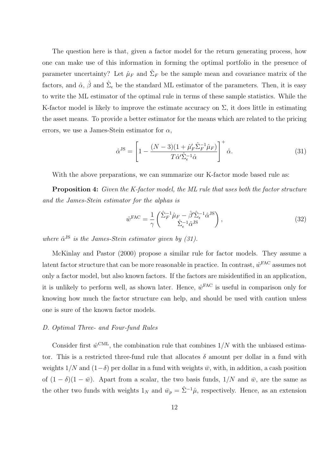The question here is that, given a factor model for the return generating process, how one can make use of this information in forming the optimal portfolio in the presence of parameter uncertainty? Let  $\hat{\mu}_F$  and  $\hat{\Sigma}_F$  be the sample mean and covariance matrix of the factors, and  $\hat{\alpha}$ ,  $\hat{\beta}$  and  $\hat{\Sigma}_{\epsilon}$  be the standard ML estimator of the parameters. Then, it is easy to write the ML estimator of the optimal rule in terms of these sample statistics. While the K-factor model is likely to improve the estimate accuracy on  $\Sigma$ , it does little in estimating the asset means. To provide a better estimator for the means which are related to the pricing errors, we use a James-Stein estimator for  $\alpha$ ,

$$
\hat{\alpha}^{JS} = \left[1 - \frac{(N-3)(1 + \hat{\mu}'_F \hat{\Sigma}_F^{-1} \hat{\mu}_F)}{T \hat{\alpha}' \hat{\Sigma}_\epsilon^{-1} \hat{\alpha}}\right]^+ \hat{\alpha}.\tag{31}
$$

With the above preparations, we can summarize our K-factor mode based rule as:

Proposition 4: Given the K-factor model, the ML rule that uses both the factor structure and the James-Stein estimator for the alphas is

$$
\hat{w}^{\text{FAC}} = \frac{1}{\gamma} \begin{pmatrix} \hat{\Sigma}_F^{-1} \hat{\mu}_F - \hat{\beta}' \hat{\Sigma}_\epsilon^{-1} \hat{\alpha}^{\text{JS}} \\ \hat{\Sigma}_\epsilon^{-1} \hat{\alpha}^{\text{JS}} \end{pmatrix},\tag{32}
$$

where  $\hat{\alpha}^{JS}$  is the James-Stein estimator given by (31).

McKinlay and Pastor (2000) propose a similar rule for factor models. They assume a latent factor structure that can be more reasonable in practice. In contrast,  $\hat{w}^{\text{FAC}}$  assumes not only a factor model, but also known factors. If the factors are misidentified in an application, it is unlikely to perform well, as shown later. Hence,  $\hat{w}^{\text{FAC}}$  is useful in comparison only for knowing how much the factor structure can help, and should be used with caution unless one is sure of the known factor models.

#### D. Optimal Three- and Four-fund Rules

Consider first  $\hat{w}^{\text{CML}}$ , the combination rule that combines  $1/N$  with the unbiased estimator. This is a restricted three-fund rule that allocates  $\delta$  amount per dollar in a fund with weights  $1/N$  and  $(1-\delta)$  per dollar in a fund with weights  $\bar{w}$ , with, in addition, a cash position of  $(1 - \delta)(1 - \bar{w})$ . Apart from a scalar, the two basis funds,  $1/N$  and  $\bar{w}$ , are the same as the other two funds with weights  $1_N$  and  $\bar{w}_p = \hat{\Sigma}^{-1}\hat{\mu}$ , respectively. Hence, as an extension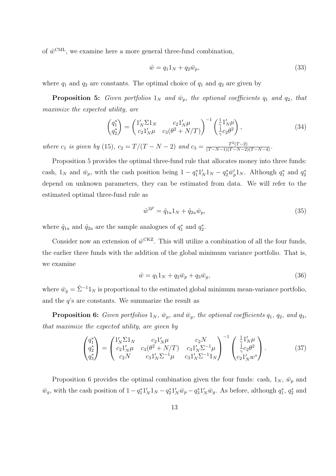of  $\hat{w}^{\text{CML}}$ , we examine here a more general three-fund combination,

$$
\hat{w} = q_1 1_N + q_2 \bar{w}_p,\tag{33}
$$

where  $q_1$  and  $q_2$  are constants. The optimal choice of  $q_1$  and  $q_2$  are given by

**Proposition 5:** Given portfolios  $1_N$  and  $\bar{w}_p$ , the optional coefficients  $q_1$  and  $q_2$ , that maximize the expected utility, are

$$
\begin{pmatrix} q_1^* \\ q_2^* \end{pmatrix} = \begin{pmatrix} 1_N' \Sigma 1_N & c_2 1_N' \mu \\ c_2 1_N' \mu & c_3 (\theta^2 + N/T) \end{pmatrix}^{-1} \begin{pmatrix} \frac{1}{\lambda} 1_N' \mu \\ \frac{1}{\gamma} c_2 \theta^2 \end{pmatrix},
$$
(34)

where  $c_1$  is given by (15),  $c_2 = T/(T - N - 2)$  and  $c_3 = \frac{T^2(T-2)}{(T-N-1)(T-N-2)(T-N-4)}}$ .

Proposition 5 provides the optimal three-fund rule that allocates money into three funds: cash,  $1_N$  and  $\bar{w}_p$ , with the cash position being  $1 - q_1^* 1'_N 1_N - q_2^* \bar{w}_p' 1_N$ . Although  $q_1^*$  and  $q_2^*$ depend on unknown parameters, they can be estimated from data. We will refer to the estimated optimal three-fund rule as

$$
\hat{w}^{3F} = \hat{q}_{1u} 1_N + \hat{q}_{2u} \bar{w}_p,\tag{35}
$$

where  $\hat{q}_{1u}$  and  $\hat{q}_{2u}$  are the sample analogues of  $q_1^*$  and  $q_2^*$ .

Consider now an extension of  $\hat{w}^{\text{CKZ}}$ . This will utilize a combination of all the four funds, the earlier three funds with the addition of the global minimum variance portfolio. That is, we examine

$$
\hat{w} = q_1 1_N + q_2 \bar{w}_p + q_3 \bar{w}_g,\tag{36}
$$

where  $\bar{w}_g = \hat{\Sigma}^{-1} 1_N$  is proportional to the estimated global minimum mean-variance portfolio, and the  $q$ 's are constants. We summarize the result as

**Proposition 6:** Given portfolios  $1_N$ ,  $\bar{w}_p$ , and  $\bar{w}_g$ , the optional coefficients  $q_1$ ,  $q_2$ , and  $q_3$ , that maximize the expected utility, are given by

$$
\begin{pmatrix} q_1^* \\ q_2^* \\ q_3^* \end{pmatrix} = \begin{pmatrix} 1'_N \Sigma 1_N & c_2 1'_N \mu & c_2 N \\ c_2 1'_N \mu & c_3 (\theta^2 + N/T) & c_3 1'_N \Sigma^{-1} \mu \\ c_2 N & c_3 1'_N \Sigma^{-1} \mu & c_3 1'_N \Sigma^{-1} 1_N \end{pmatrix}^{-1} \begin{pmatrix} \frac{1}{\lambda} 1'_N \mu \\ \frac{1}{\gamma} c_2 \theta^2 \\ c_2 1'_N w^* \end{pmatrix} . \tag{37}
$$

Proposition 6 provides the optimal combination given the four funds: cash,  $1_N$ ,  $\bar{w}_p$  and  $\bar{w}_g$ , with the cash position of  $1-q_1^*1_N'1_N-q_2^*1_N'\bar{w}_p-q_3^*1_N'\bar{w}_g$ . As before, although  $q_1^*$ ,  $q_2^*$  and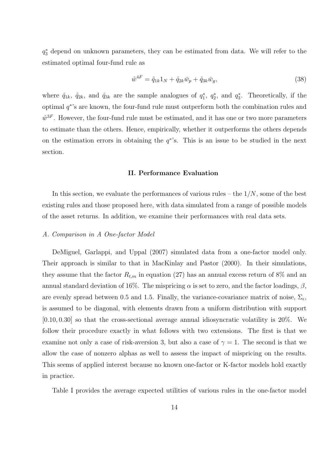q∗ <sup>3</sup> depend on unknown parameters, they can be estimated from data. We will refer to the estimated optimal four-fund rule as

$$
\hat{w}^{4F} = \hat{q}_{1k} 1_N + \hat{q}_{2k} \bar{w}_p + \hat{q}_{3k} \bar{w}_g,\tag{38}
$$

where  $\hat{q}_{1k}$ ,  $\hat{q}_{2k}$ , and  $\hat{q}_{3k}$  are the sample analogues of  $q_1^*$ ,  $q_2^*$ , and  $q_3^*$ . Theoretically, if the optimal q∗'s are known, the four-fund rule must outperform both the combination rules and  $\hat{w}^{3F}$ . However, the four-fund rule must be estimated, and it has one or two more parameters to estimate than the others. Hence, empirically, whether it outperforms the others depends on the estimation errors in obtaining the  $q^*$ 's. This is an issue to be studied in the next section.

# II. Performance Evaluation

In this section, we evaluate the performances of various rules – the  $1/N$ , some of the best existing rules and those proposed here, with data simulated from a range of possible models of the asset returns. In addition, we examine their performances with real data sets.

#### A. Comparison in A One-factor Model

DeMiguel, Garlappi, and Uppal (2007) simulated data from a one-factor model only. Their approach is similar to that in MacKinlay and Pastor (2000). In their simulations, they assume that the factor  $R_{t,m}$  in equation (27) has an annual excess return of 8% and an annual standard deviation of 16%. The mispricing  $\alpha$  is set to zero, and the factor loadings,  $\beta$ , are evenly spread between 0.5 and 1.5. Finally, the variance-covariance matrix of noise,  $\Sigma_{\epsilon}$ , is assumed to be diagonal, with elements drawn from a uniform distribution with support  $[0.10, 0.30]$  so that the cross-sectional average annual idiosyncratic volatility is 20%. We follow their procedure exactly in what follows with two extensions. The first is that we examine not only a case of risk-aversion 3, but also a case of  $\gamma = 1$ . The second is that we allow the case of nonzero alphas as well to assess the impact of mispricing on the results. This seems of applied interest because no known one-factor or K-factor models hold exactly in practice.

Table I provides the average expected utilities of various rules in the one-factor model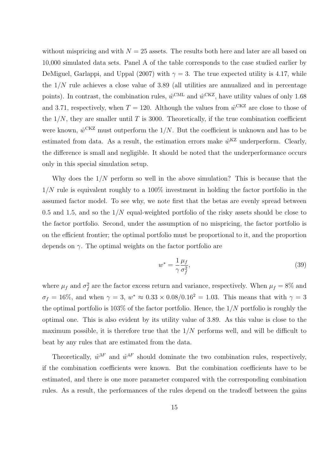without mispricing and with  $N = 25$  assets. The results both here and later are all based on 10,000 simulated data sets. Panel A of the table corresponds to the case studied earlier by DeMiguel, Garlappi, and Uppal (2007) with  $\gamma = 3$ . The true expected utility is 4.17, while the  $1/N$  rule achieves a close value of 3.89 (all utilities are annualized and in percentage points). In contrast, the combination rules,  $\hat{w}^{\text{CML}}$  and  $\hat{w}^{\text{CKZ}}$ , have utility values of only 1.68 and 3.71, respectively, when  $T = 120$ . Although the values from  $\hat{w}^{\text{CKZ}}$  are close to those of the  $1/N$ , they are smaller until T is 3000. Theoretically, if the true combination coefficient were known,  $\hat{w}^{\text{CKZ}}$  must outperform the 1/N. But the coefficient is unknown and has to be estimated from data. As a result, the estimation errors make  $\hat{w}^{KZ}$  underperform. Clearly, the difference is small and negligible. It should be noted that the underperformance occurs only in this special simulation setup.

Why does the  $1/N$  perform so well in the above simulation? This is because that the  $1/N$  rule is equivalent roughly to a  $100\%$  investment in holding the factor portfolio in the assumed factor model. To see why, we note first that the betas are evenly spread between 0.5 and 1.5, and so the  $1/N$  equal-weighted portfolio of the risky assets should be close to the factor portfolio. Second, under the assumption of no mispricing, the factor portfolio is on the efficient frontier; the optimal portfolio must be proportional to it, and the proportion depends on  $\gamma$ . The optimal weights on the factor portfolio are

$$
w^* = \frac{1}{\gamma} \frac{\mu_f}{\sigma_f^2},\tag{39}
$$

where  $\mu_f$  and  $\sigma_f^2$  are the factor excess return and variance, respectively. When  $\mu_f = 8\%$  and  $\sigma_f = 16\%$ , and when  $\gamma = 3$ ,  $w^* \approx 0.33 \times 0.08/0.16^2 = 1.03$ . This means that with  $\gamma = 3$ the optimal portfolio is  $103\%$  of the factor portfolio. Hence, the  $1/N$  portfolio is roughly the optimal one. This is also evident by its utility value of 3.89. As this value is close to the maximum possible, it is therefore true that the  $1/N$  performs well, and will be difficult to beat by any rules that are estimated from the data.

Theoretically,  $\hat{w}^{3F}$  and  $\hat{w}^{4F}$  should dominate the two combination rules, respectively, if the combination coefficients were known. But the combination coefficients have to be estimated, and there is one more parameter compared with the corresponding combination rules. As a result, the performances of the rules depend on the tradeoff between the gains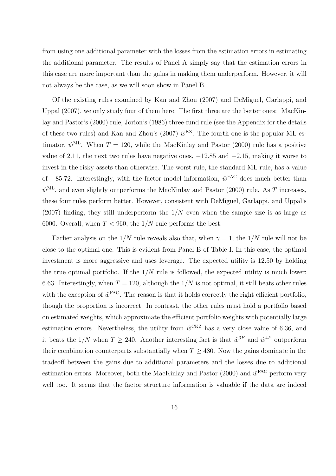from using one additional parameter with the losses from the estimation errors in estimating the additional parameter. The results of Panel A simply say that the estimation errors in this case are more important than the gains in making them underperform. However, it will not always be the case, as we will soon show in Panel B.

Of the existing rules examined by Kan and Zhou (2007) and DeMiguel, Garlappi, and Uppal (2007), we only study four of them here. The first three are the better ones: MacKinlay and Pastor's (2000) rule, Jorion's (1986) three-fund rule (see the Appendix for the details of these two rules) and Kan and Zhou's (2007)  $\hat{w}^{KZ}$ . The fourth one is the popular ML estimator,  $\hat{w}^{\text{ML}}$ . When  $T = 120$ , while the MacKinlay and Pastor (2000) rule has a positive value of 2.11, the next two rules have negative ones,  $-12.85$  and  $-2.15$ , making it worse to invest in the risky assets than otherwise. The worst rule, the standard ML rule, has a value of −85.72. Interestingly, with the factor model information,  $\hat{w}^{\text{FAC}}$  does much better than  $\hat{w}^{\text{ML}}$ , and even slightly outperforms the MacKinlay and Pastor (2000) rule. As T increases, these four rules perform better. However, consistent with DeMiguel, Garlappi, and Uppal's  $(2007)$  finding, they still underperform the  $1/N$  even when the sample size is as large as 6000. Overall, when  $T < 960$ , the  $1/N$  rule performs the best.

Earlier analysis on the  $1/N$  rule reveals also that, when  $\gamma = 1$ , the  $1/N$  rule will not be close to the optimal one. This is evident from Panel B of Table I. In this case, the optimal investment is more aggressive and uses leverage. The expected utility is 12.50 by holding the true optimal portfolio. If the  $1/N$  rule is followed, the expected utility is much lower: 6.63. Interestingly, when  $T = 120$ , although the  $1/N$  is not optimal, it still beats other rules with the exception of  $\hat{w}^{\text{FAC}}$ . The reason is that it holds correctly the right efficient portfolio, though the proportion is incorrect. In contrast, the other rules must hold a portfolio based on estimated weights, which approximate the efficient portfolio weights with potentially large estimation errors. Nevertheless, the utility from  $\hat{w}^{\text{CKZ}}$  has a very close value of 6.36, and it beats the  $1/N$  when  $T \geq 240$ . Another interesting fact is that  $\hat{w}^{3F}$  and  $\hat{w}^{4F}$  outperform their combination counterparts substantially when  $T \geq 480$ . Now the gains dominate in the tradeoff between the gains due to additional parameters and the losses due to additional estimation errors. Moreover, both the MacKinlay and Pastor (2000) and  $\hat{w}^{\text{FAC}}$  perform very well too. It seems that the factor structure information is valuable if the data are indeed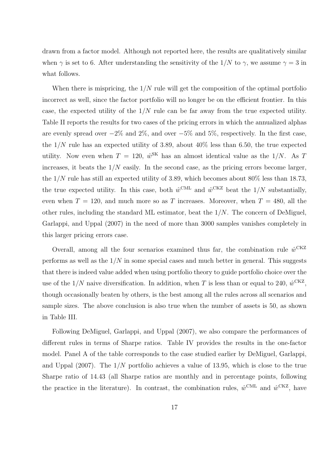drawn from a factor model. Although not reported here, the results are qualitatively similar when  $\gamma$  is set to 6. After understanding the sensitivity of the 1/N to  $\gamma$ , we assume  $\gamma = 3$  in what follows.

When there is mispricing, the  $1/N$  rule will get the composition of the optimal portfolio incorrect as well, since the factor portfolio will no longer be on the efficient frontier. In this case, the expected utility of the  $1/N$  rule can be far away from the true expected utility. Table II reports the results for two cases of the pricing errors in which the annualized alphas are evenly spread over  $-2\%$  and  $2\%$ , and over  $-5\%$  and  $5\%$ , respectively. In the first case, the  $1/N$  rule has an expected utility of 3.89, about  $40\%$  less than 6.50, the true expected utility. Now even when  $T = 120$ ,  $\hat{w}^{\text{SK}}$  has an almost identical value as the 1/N. As T increases, it beats the  $1/N$  easily. In the second case, as the pricing errors become larger, the  $1/N$  rule has still an expected utility of 3.89, which becomes about 80% less than 18.73, the true expected utility. In this case, both  $\hat{w}^{\text{CML}}$  and  $\hat{w}^{\text{CKZ}}$  beat the  $1/N$  substantially, even when  $T = 120$ , and much more so as T increases. Moreover, when  $T = 480$ , all the other rules, including the standard ML estimator, beat the  $1/N$ . The concern of DeMiguel, Garlappi, and Uppal (2007) in the need of more than 3000 samples vanishes completely in this larger pricing errors case.

Overall, among all the four scenarios examined thus far, the combination rule  $\hat{w}^{\text{CKZ}}$ performs as well as the  $1/N$  in some special cases and much better in general. This suggests that there is indeed value added when using portfolio theory to guide portfolio choice over the use of the  $1/N$  naive diversification. In addition, when T is less than or equal to 240,  $\hat{w}^{\text{CKZ}}$ , though occasionally beaten by others, is the best among all the rules across all scenarios and sample sizes. The above conclusion is also true when the number of assets is 50, as shown in Table III.

Following DeMiguel, Garlappi, and Uppal (2007), we also compare the performances of different rules in terms of Sharpe ratios. Table IV provides the results in the one-factor model. Panel A of the table corresponds to the case studied earlier by DeMiguel, Garlappi, and Uppal (2007). The  $1/N$  portfolio achieves a value of 13.95, which is close to the true Sharpe ratio of 14.43 (all Sharpe ratios are monthly and in percentage points, following the practice in the literature). In contrast, the combination rules,  $\hat{w}^{\text{CML}}$  and  $\hat{w}^{\text{CKZ}}$ , have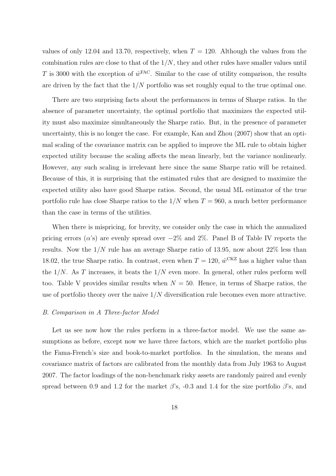values of only 12.04 and 13.70, respectively, when  $T = 120$ . Although the values from the combination rules are close to that of the  $1/N$ , they and other rules have smaller values until T is 3000 with the exception of  $\hat{w}^{\text{FAC}}$ . Similar to the case of utility comparison, the results are driven by the fact that the  $1/N$  portfolio was set roughly equal to the true optimal one.

There are two surprising facts about the performances in terms of Sharpe ratios. In the absence of parameter uncertainty, the optimal portfolio that maximizes the expected utility must also maximize simultaneously the Sharpe ratio. But, in the presence of parameter uncertainty, this is no longer the case. For example, Kan and Zhou (2007) show that an optimal scaling of the covariance matrix can be applied to improve the ML rule to obtain higher expected utility because the scaling affects the mean linearly, but the variance nonlinearly. However, any such scaling is irrelevant here since the same Sharpe ratio will be retained. Because of this, it is surprising that the estimated rules that are designed to maximize the expected utility also have good Sharpe ratios. Second, the usual ML estimator of the true portfolio rule has close Sharpe ratios to the  $1/N$  when  $T = 960$ , a much better performance than the case in terms of the utilities.

When there is mispricing, for brevity, we consider only the case in which the annualized pricing errors ( $\alpha$ 's) are evenly spread over  $-2\%$  and  $2\%$ . Panel B of Table IV reports the results. Now the  $1/N$  rule has an average Sharpe ratio of 13.95, now about  $22\%$  less than 18.02, the true Sharpe ratio. In contrast, even when  $T = 120$ ,  $\hat{w}^{\text{CKZ}}$  has a higher value than the  $1/N$ . As T increases, it beats the  $1/N$  even more. In general, other rules perform well too. Table V provides similar results when  $N = 50$ . Hence, in terms of Sharpe ratios, the use of portfolio theory over the naive  $1/N$  diversification rule becomes even more attractive.

#### B. Comparison in A Three-factor Model

Let us see now how the rules perform in a three-factor model. We use the same assumptions as before, except now we have three factors, which are the market portfolio plus the Fama-French's size and book-to-market portfolios. In the simulation, the means and covariance matrix of factors are calibrated from the monthly data from July 1963 to August 2007. The factor loadings of the non-benchmark risky assets are randomly paired and evenly spread between 0.9 and 1.2 for the market  $\beta$ 's, -0.3 and 1.4 for the size portfolio  $\beta$ 's, and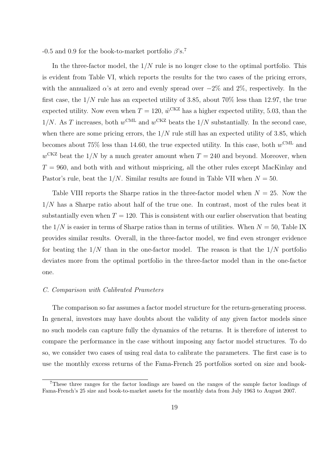-0.5 and 0.9 for the book-to-market portfolio  $\beta$ 's.<sup>7</sup>

In the three-factor model, the  $1/N$  rule is no longer close to the optimal portfolio. This is evident from Table VI, which reports the results for the two cases of the pricing errors, with the annualized  $\alpha$ 's at zero and evenly spread over  $-2\%$  and  $2\%$ , respectively. In the first case, the  $1/N$  rule has an expected utility of 3.85, about 70% less than 12.97, the true expected utility. Now even when  $T = 120$ ,  $\hat{w}^{\text{CKZ}}$  has a higher expected utility, 5.03, than the  $1/N$ . As T increases, both  $w^{\text{CML}}$  and  $w^{\text{CKZ}}$  beats the  $1/N$  substantially. In the second case, when there are some pricing errors, the  $1/N$  rule still has an expected utility of 3.85, which becomes about 75% less than 14.60, the true expected utility. In this case, both  $w^{\text{CML}}$  and  $w<sup>CKZ</sup>$  beat the 1/N by a much greater amount when  $T = 240$  and beyond. Moreover, when  $T = 960$ , and both with and without mispricing, all the other rules except MacKinlay and Pastor's rule, beat the  $1/N$ . Similar results are found in Table VII when  $N = 50$ .

Table VIII reports the Sharpe ratios in the three-factor model when  $N = 25$ . Now the  $1/N$  has a Sharpe ratio about half of the true one. In contrast, most of the rules beat it substantially even when  $T = 120$ . This is consistent with our earlier observation that beating the  $1/N$  is easier in terms of Sharpe ratios than in terms of utilities. When  $N = 50$ , Table IX provides similar results. Overall, in the three-factor model, we find even stronger evidence for beating the  $1/N$  than in the one-factor model. The reason is that the  $1/N$  portfolio deviates more from the optimal portfolio in the three-factor model than in the one-factor one.

#### C. Comparison with Calibrated Prameters

The comparison so far assumes a factor model structure for the return-generating process. In general, investors may have doubts about the validity of any given factor models since no such models can capture fully the dynamics of the returns. It is therefore of interest to compare the performance in the case without imposing any factor model structures. To do so, we consider two cases of using real data to calibrate the parameters. The first case is to use the monthly excess returns of the Fama-French 25 portfolios sorted on size and book-

<sup>7</sup>These three ranges for the factor loadings are based on the ranges of the sample factor loadings of Fama-French's 25 size and book-to-market assets for the monthly data from July 1963 to August 2007.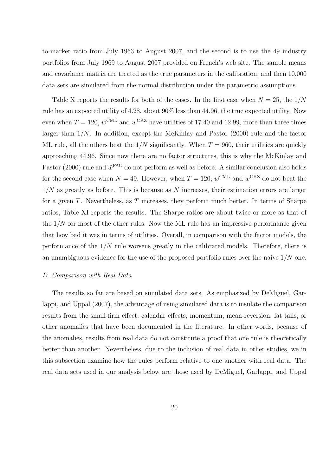to-market ratio from July 1963 to August 2007, and the second is to use the 49 industry portfolios from July 1969 to August 2007 provided on French's web site. The sample means and covariance matrix are treated as the true parameters in the calibration, and then 10,000 data sets are simulated from the normal distribution under the parametric assumptions.

Table X reports the results for both of the cases. In the first case when  $N = 25$ , the  $1/N$ rule has an expected utility of 4.28, about 90% less than 44.96, the true expected utility. Now even when  $T = 120$ ,  $w^{\text{CML}}$  and  $w^{\text{CKZ}}$  have utilities of 17.40 and 12.99, more than three times larger than  $1/N$ . In addition, except the McKinlay and Pastor  $(2000)$  rule and the factor ML rule, all the others beat the  $1/N$  significantly. When  $T = 960$ , their utilities are quickly approaching 44.96. Since now there are no factor structures, this is why the McKinlay and Pastor (2000) rule and  $\hat{w}^{\text{FAC}}$  do not perform as well as before. A similar conclusion also holds for the second case when  $N = 49$ . However, when  $T = 120$ ,  $w^{\text{CML}}$  and  $w^{\text{CKZ}}$  do not beat the  $1/N$  as greatly as before. This is because as N increases, their estimation errors are larger for a given T. Nevertheless, as T increases, they perform much better. In terms of Sharpe ratios, Table XI reports the results. The Sharpe ratios are about twice or more as that of the  $1/N$  for most of the other rules. Now the ML rule has an impressive performance given that how bad it was in terms of utilities. Overall, in comparison with the factor models, the performance of the  $1/N$  rule worsens greatly in the calibrated models. Therefore, there is an unambiguous evidence for the use of the proposed portfolio rules over the naive  $1/N$  one.

#### D. Comparison with Real Data

The results so far are based on simulated data sets. As emphasized by DeMiguel, Garlappi, and Uppal (2007), the advantage of using simulated data is to insulate the comparison results from the small-firm effect, calendar effects, momentum, mean-reversion, fat tails, or other anomalies that have been documented in the literature. In other words, because of the anomalies, results from real data do not constitute a proof that one rule is theoretically better than another. Nevertheless, due to the inclusion of real data in other studies, we in this subsection examine how the rules perform relative to one another with real data. The real data sets used in our analysis below are those used by DeMiguel, Garlappi, and Uppal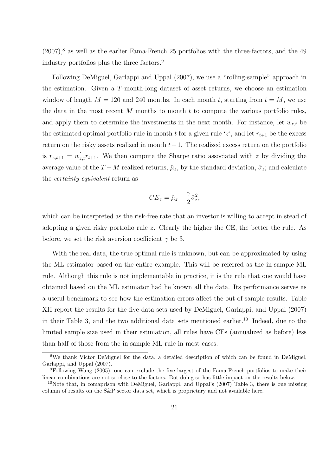$(2007)$ <sup>8</sup> as well as the earlier Fama-French 25 portfolios with the three-factors, and the 49 industry portfolios plus the three factors.<sup>9</sup>

Following DeMiguel, Garlappi and Uppal (2007), we use a "rolling-sample" approach in the estimation. Given a T-month-long dataset of asset returns, we choose an estimation window of length  $M = 120$  and 240 months. In each month t, starting from  $t = M$ , we use the data in the most recent M months to month  $t$  to compute the various portfolio rules, and apply them to determine the investments in the next month. For instance, let  $w_{z,t}$  be the estimated optimal portfolio rule in month t for a given rule 'z', and let  $r_{t+1}$  be the excess return on the risky assets realized in month  $t + 1$ . The realized excess return on the portfolio is  $r_{z,t+1} = w'_{z,t}r_{t+1}$ . We then compute the Sharpe ratio associated with z by dividing the average value of the  $T - M$  realized returns,  $\hat{\mu}_z$ , by the standard deviation,  $\hat{\sigma}_z$ ; and calculate the certainty-equivalent return as

$$
CE_z = \hat{\mu}_z - \frac{\gamma}{2}\hat{\sigma}_z^2,
$$

which can be interpreted as the risk-free rate that an investor is willing to accept in stead of adopting a given risky portfolio rule z. Clearly the higher the CE, the better the rule. As before, we set the risk aversion coefficient  $\gamma$  be 3.

With the real data, the true optimal rule is unknown, but can be approximated by using the ML estimator based on the entire example. This will be referred as the in-sample ML rule. Although this rule is not implementable in practice, it is the rule that one would have obtained based on the ML estimator had he known all the data. Its performance serves as a useful benchmark to see how the estimation errors affect the out-of-sample results. Table XII report the results for the five data sets used by DeMiguel, Garlappi, and Uppal (2007) in their Table 3, and the two additional data sets mentioned earlier.<sup>10</sup> Indeed, due to the limited sample size used in their estimation, all rules have CEs (annualized as before) less than half of those from the in-sample ML rule in most cases.

<sup>8</sup>We thank Victor DeMiguel for the data, a detailed description of which can be found in DeMiguel, Garlappi, and Uppal (2007).

<sup>9</sup>Following Wang (2005), one can exclude the five largest of the Fama-French portfolios to make their linear combinations are not so close to the factors. But doing so has little impact on the results below.

<sup>&</sup>lt;sup>10</sup>Note that, in comaprison with DeMiguel, Garlappi, and Uppal's  $(2007)$  Table 3, there is one missing column of results on the S&P sector data set, which is proprietary and not available here.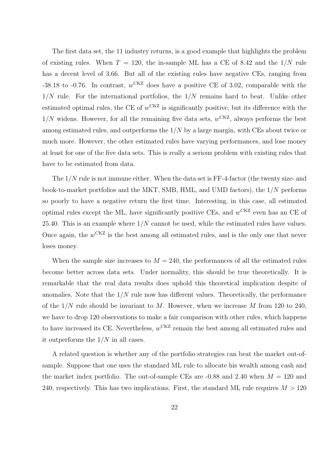The first data set, the 11 industry returns, is a good example that highlights the problem of existing rules. When  $T = 120$ , the in-sample ML has a CE of 8.42 and the  $1/N$  rule has a decent level of 3.66. But all of the existing rules have negative CEs, ranging from -38.18 to -0.76. In contrast,  $w^{CKZ}$  does have a positive CE of 3.02, comparable with the  $1/N$  rule. For the international portfolios, the  $1/N$  remains hard to beat. Unlike other estimated optimal rules, the CE of  $w<sup>CKZ</sup>$  is significantly positive, but its difference with the  $1/N$  widens. However, for all the remaining five data sets,  $w^{CKZ}$ , always performs the best among estimated rules, and outperforms the  $1/N$  by a large margin, with CEs about twice or much more. However, the other estimated rules have varying performances, and lose money at least for one of the five data sets. This is really a serious problem with existing rules that have to be estimated from data.

The  $1/N$  rule is not immune either. When the data set is  $FF-4$ -factor (the twenty size- and book-to-market portfolios and the MKT, SMB, HML, and UMD factors), the 1/N performs so poorly to have a negative return the first time. Interesting, in this case, all estimated optimal rules except the ML, have significantly positive CEs, and  $w^{CKZ}$  even has an CE of 25.40. This is an example where  $1/N$  cannot be used, while the estimated rules have values. Once again, the  $w^{CKZ}$  is the best among all estimated rules, and is the only one that never loses money.

When the sample size increases to  $M = 240$ , the performances of all the estimated rules become better across data sets. Under normality, this should be true theoretically. It is remarkable that the real data results does uphold this theoretical implication despite of anomalies. Note that the  $1/N$  rule now has different values. Theoretically, the performance of the  $1/N$  rule should be invariant to M. However, when we increase M from 120 to 240, we have to drop 120 observations to make a fair comparison with other rules, which happens to have increased its CE. Nevertheless,  $w^{CKZ}$  remain the best among all estimated rules and it outperforms the  $1/N$  in all cases.

A related question is whether any of the portfolio strategies can beat the market out-ofsample. Suppose that one uses the standard ML rule to allocate his wealth among cash and the market index portfolio. The out-of-sample CEs are  $-0.88$  and 2.40 when  $M = 120$  and 240, respectively. This has two implications. First, the standard ML rule requires  $M > 120$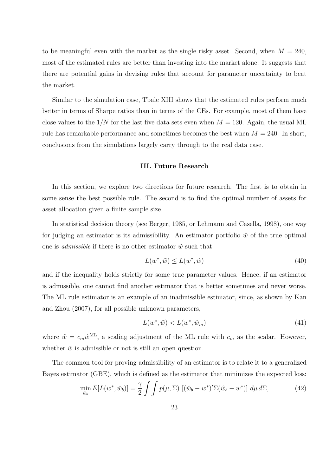to be meaningful even with the market as the single risky asset. Second, when  $M = 240$ , most of the estimated rules are better than investing into the market alone. It suggests that there are potential gains in devising rules that account for parameter uncertainty to beat the market.

Similar to the simulation case, Tbale XIII shows that the estimated rules perform much better in terms of Sharpe ratios than in terms of the CEs. For example, most of them have close values to the  $1/N$  for the last five data sets even when  $M = 120$ . Again, the usual ML rule has remarkable performance and sometimes becomes the best when  $M = 240$ . In short, conclusions from the simulations largely carry through to the real data case.

#### III. Future Research

In this section, we explore two directions for future research. The first is to obtain in some sense the best possible rule. The second is to find the optimal number of assets for asset allocation given a finite sample size.

In statistical decision theory (see Berger, 1985, or Lehmann and Casella, 1998), one way for judging an estimator is its admissibility. An estimator portfolio  $\hat{w}$  of the true optimal one is *admissible* if there is no other estimator  $\tilde{w}$  such that

$$
L(w^*, \tilde{w}) \le L(w^*, \hat{w}) \tag{40}
$$

and if the inequality holds strictly for some true parameter values. Hence, if an estimator is admissible, one cannot find another estimator that is better sometimes and never worse. The ML rule estimator is an example of an inadmissible estimator, since, as shown by Kan and Zhou (2007), for all possible unknown parameters,

$$
L(w^*, \tilde{w}) < L(w^*, \hat{w}_m) \tag{41}
$$

where  $\tilde{w} = c_m \hat{w}^{\text{ML}}$ , a scaling adjustment of the ML rule with  $c_m$  as the scalar. However, whether  $\tilde{w}$  is admissible or not is still an open question.

The common tool for proving admissibility of an estimator is to relate it to a generalized Bayes estimator (GBE), which is defined as the estimator that minimizes the expected loss:

$$
\min_{\hat{w}_b} E[L(w^*, \hat{w}_b)] = \frac{\gamma}{2} \int \int p(\mu, \Sigma) \left[ (\hat{w}_b - w^*)' \Sigma (\hat{w}_b - w^*) \right] d\mu d\Sigma, \tag{42}
$$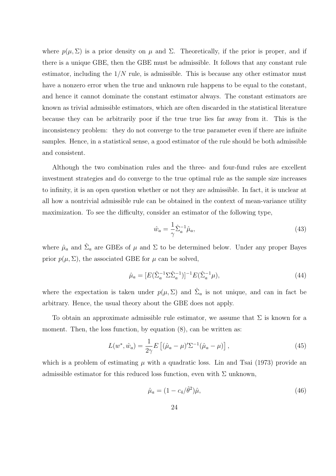where  $p(\mu, \Sigma)$  is a prior density on  $\mu$  and  $\Sigma$ . Theoretically, if the prior is proper, and if there is a unique GBE, then the GBE must be admissible. It follows that any constant rule estimator, including the  $1/N$  rule, is admissible. This is because any other estimator must have a nonzero error when the true and unknown rule happens to be equal to the constant, and hence it cannot dominate the constant estimator always. The constant estimators are known as trivial admissible estimators, which are often discarded in the statistical literature because they can be arbitrarily poor if the true true lies far away from it. This is the inconsistency problem: they do not converge to the true parameter even if there are infinite samples. Hence, in a statistical sense, a good estimator of the rule should be both admissible and consistent.

Although the two combination rules and the three- and four-fund rules are excellent investment strategies and do converge to the true optimal rule as the sample size increases to infinity, it is an open question whether or not they are admissible. In fact, it is unclear at all how a nontrivial admissible rule can be obtained in the context of mean-variance utility maximization. To see the difficulty, consider an estimator of the following type,

$$
\hat{w}_a = \frac{1}{\gamma} \hat{\Sigma}_a^{-1} \hat{\mu}_a,\tag{43}
$$

where  $\hat{\mu}_a$  and  $\hat{\Sigma}_a$  are GBEs of  $\mu$  and  $\Sigma$  to be determined below. Under any proper Bayes prior  $p(\mu, \Sigma)$ , the associated GBE for  $\mu$  can be solved,

$$
\hat{\mu}_a = [E(\hat{\Sigma}_a^{-1} \Sigma \hat{\Sigma}_a^{-1})]^{-1} E(\hat{\Sigma}_a^{-1} \mu), \tag{44}
$$

where the expectation is taken under  $p(\mu, \Sigma)$  and  $\hat{\Sigma}_a$  is not unique, and can in fact be arbitrary. Hence, the usual theory about the GBE does not apply.

To obtain an approximate admissible rule estimator, we assume that  $\Sigma$  is known for a moment. Then, the loss function, by equation  $(8)$ , can be written as:

$$
L(w^*, \hat{w}_a) = \frac{1}{2\gamma} E\left[ (\hat{\mu}_a - \mu)' \Sigma^{-1} (\hat{\mu}_a - \mu) \right],
$$
\n(45)

which is a problem of estimating  $\mu$  with a quadratic loss. Lin and Tsai (1973) provide an admissible estimator for this reduced loss function, even with  $\Sigma$  unknown,

$$
\hat{\mu}_a = (1 - c_4/\hat{\theta}^2)\hat{\mu},\tag{46}
$$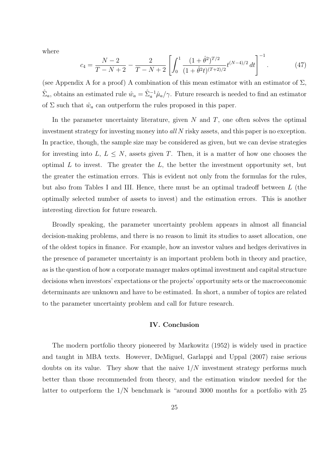where

$$
c_4 = \frac{N-2}{T-N+2} - \frac{2}{T-N+2} \left[ \int_0^1 \frac{(1+\hat{\theta}^2)^{T/2}}{(1+\hat{\theta}^2 t)^{(T+2)/2}} t^{(N-4)/2} dt \right]^{-1}.
$$
 (47)

(see Appendix A for a proof) A combination of this mean estimator with an estimator of  $\Sigma$ ,  $\hat{\Sigma}_a$ , obtains an estimated rule  $\hat{w}_a = \hat{\Sigma}_a^{-1} \hat{\mu}_a/\gamma$ . Future research is needed to find an estimator of  $\Sigma$  such that  $\hat{w}_a$  can outperform the rules proposed in this paper.

In the parameter uncertainty literature, given  $N$  and  $T$ , one often solves the optimal investment strategy for investing money into all N risky assets, and this paper is no exception. In practice, though, the sample size may be considered as given, but we can devise strategies for investing into  $L, L \leq N$ , assets given T. Then, it is a matter of how one chooses the optimal  $L$  to invest. The greater the  $L$ , the better the investment opportunity set, but the greater the estimation errors. This is evident not only from the formulas for the rules, but also from Tables I and III. Hence, there must be an optimal tradeoff between L (the optimally selected number of assets to invest) and the estimation errors. This is another interesting direction for future research.

Broadly speaking, the parameter uncertainty problem appears in almost all financial decision-making problems, and there is no reason to limit its studies to asset allocation, one of the oldest topics in finance. For example, how an investor values and hedges derivatives in the presence of parameter uncertainty is an important problem both in theory and practice, as is the question of how a corporate manager makes optimal investment and capital structure decisions when investors' expectations or the projects' opportunity sets or the macroeconomic determinants are unknown and have to be estimated. In short, a number of topics are related to the parameter uncertainty problem and call for future research.

#### IV. Conclusion

The modern portfolio theory pioneered by Markowitz (1952) is widely used in practice and taught in MBA texts. However, DeMiguel, Garlappi and Uppal (2007) raise serious doubts on its value. They show that the naive  $1/N$  investment strategy performs much better than those recommended from theory, and the estimation window needed for the latter to outperform the 1/N benchmark is "around 3000 months for a portfolio with 25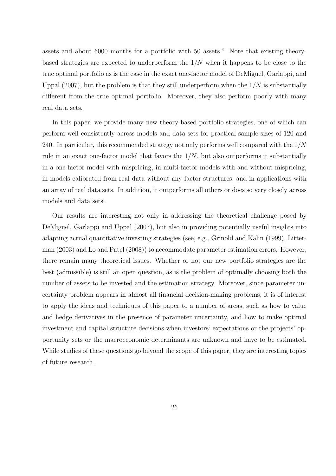assets and about 6000 months for a portfolio with 50 assets." Note that existing theorybased strategies are expected to underperform the  $1/N$  when it happens to be close to the true optimal portfolio as is the case in the exact one-factor model of DeMiguel, Garlappi, and Uppal  $(2007)$ , but the problem is that they still underperform when the  $1/N$  is substantially different from the true optimal portfolio. Moreover, they also perform poorly with many real data sets.

In this paper, we provide many new theory-based portfolio strategies, one of which can perform well consistently across models and data sets for practical sample sizes of 120 and 240. In particular, this recommended strategy not only performs well compared with the  $1/N$ rule in an exact one-factor model that favors the  $1/N$ , but also outperforms it substantially in a one-factor model with mispricing, in multi-factor models with and without mispricing, in models calibrated from real data without any factor structures, and in applications with an array of real data sets. In addition, it outperforms all others or does so very closely across models and data sets.

Our results are interesting not only in addressing the theoretical challenge posed by DeMiguel, Garlappi and Uppal (2007), but also in providing potentially useful insights into adapting actual quantitative investing strategies (see, e.g., Grinold and Kahn (1999), Litterman (2003) and Lo and Patel (2008)) to accommodate parameter estimation errors. However, there remain many theoretical issues. Whether or not our new portfolio strategies are the best (admissible) is still an open question, as is the problem of optimally choosing both the number of assets to be invested and the estimation strategy. Moreover, since parameter uncertainty problem appears in almost all financial decision-making problems, it is of interest to apply the ideas and techniques of this paper to a number of areas, such as how to value and hedge derivatives in the presence of parameter uncertainty, and how to make optimal investment and capital structure decisions when investors' expectations or the projects' opportunity sets or the macroeconomic determinants are unknown and have to be estimated. While studies of these questions go beyond the scope of this paper, they are interesting topics of future research.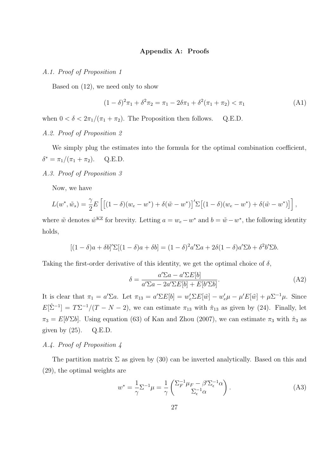#### Appendix A: Proofs

#### A.1. Proof of Proposition 1

Based on (12), we need only to show

$$
(1 - \delta)^2 \pi_1 + \delta^2 \pi_2 = \pi_1 - 2\delta \pi_1 + \delta^2 (\pi_1 + \pi_2) < \pi_1 \tag{A1}
$$

when  $0 < \delta < 2\pi_1/(\pi_1 + \pi_2)$ . The Proposition then follows. Q.E.D.

# A.2. Proof of Proposition 2

We simply plug the estimates into the formula for the optimal combination coefficient,  $\delta^* = \pi_1/(\pi_1 + \pi_2)$ . Q.E.D.

A.3. Proof of Proposition 3

Now, we have

$$
L(w^*, \tilde{w}_s) = \frac{\gamma}{2} E\left[ \left[ (1 - \delta)(w_e - w^*) + \delta(\tilde{w} - w^*) \right]'\Sigma\left[ (1 - \delta)(w_e - w^*) + \delta(\tilde{w} - w^*) \right] \right],
$$

where  $\tilde{w}$  denotes  $\hat{w}^{KZ}$  for brevity. Letting  $a = w_e - w^*$  and  $b = \tilde{w} - w^*$ , the following identity holds,

$$
[(1 - \delta)a + \delta b]' \Sigma [(1 - \delta)a + \delta b] = (1 - \delta)^2 a' \Sigma a + 2\delta (1 - \delta)a' \Sigma b + \delta^2 b' \Sigma b.
$$

Taking the first-order derivative of this identity, we get the optimal choice of  $\delta$ ,

$$
\delta = \frac{a'\Sigma a - a'\Sigma E[b]}{a'\Sigma a - 2a'\Sigma E[b] + E[b'\Sigma b]}.
$$
\n(A2)

It is clear that  $\pi_1 = a'\Sigma a$ . Let  $\pi_{13} = a'\Sigma E[b] = w'_e \Sigma E[\tilde{w}] - w'_e \mu - \mu' E[\tilde{w}] + \mu \Sigma^{-1} \mu$ . Since  $E[\hat{\Sigma}^{-1}] = T\Sigma^{-1}/(T - N - 2)$ , we can estimate  $\pi_{13}$  with  $\hat{\pi}_{13}$  as given by (24). Finally, let  $\pi_3 = E[b'\Sigma b]$ . Using equation (63) of Kan and Zhou (2007), we can estimate  $\pi_3$  with  $\hat{\pi}_3$  as given by  $(25)$ . Q.E.D.

## A.4. Proof of Proposition 4

The partition matrix  $\Sigma$  as given by (30) can be inverted analytically. Based on this and (29), the optimal weights are

$$
w^* = \frac{1}{\gamma} \Sigma^{-1} \mu = \frac{1}{\gamma} \begin{pmatrix} \Sigma_F^{-1} \mu_F - \beta' \Sigma_{\epsilon}^{-1} \alpha \\ \Sigma_{\epsilon}^{-1} \alpha \end{pmatrix} . \tag{A3}
$$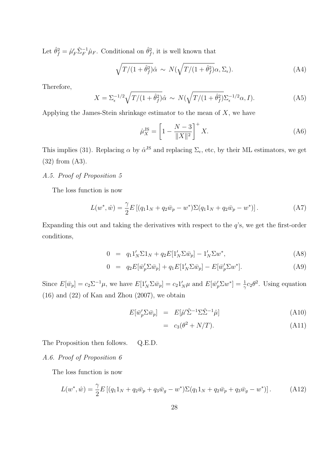Let  $\hat{\theta}_f^2 = \hat{\mu}_F' \hat{\Sigma}_F^{-1} \hat{\mu}_F$ . Conditional on  $\hat{\theta}_f^2$ , it is well known that

$$
\sqrt{T/(1+\hat{\theta}_f^2)}\hat{\alpha} \sim N(\sqrt{T/(1+\hat{\theta}_f^2)}\alpha, \Sigma_{\epsilon}).
$$
\n(A4)

Therefore,

$$
X = \Sigma_{\epsilon}^{-1/2} \sqrt{T/(1+\hat{\theta}_f^2)} \hat{\alpha} \sim N(\sqrt{T/(1+\hat{\theta}_f^2)} \Sigma_{\epsilon}^{-1/2} \alpha, I). \tag{A5}
$$

Applying the James-Stein shrinkage estimator to the mean of  $X$ , we have

$$
\hat{\mu}_X^{\rm JS} = \left[1 - \frac{N-3}{\|X\|^2}\right]^+ X. \tag{A6}
$$

This implies (31). Replacing  $\alpha$  by  $\hat{\alpha}^{JS}$  and replacing  $\Sigma_{\epsilon}$ , etc, by their ML estimators, we get (32) from (A3).

## A.5. Proof of Proposition 5

The loss function is now

$$
L(w^*, \hat{w}) = \frac{\gamma}{2} E \left[ (q_1 1_N + q_2 \bar{w}_p - w^*) \Sigma (q_1 1_N + q_2 \bar{w}_p - w^*) \right]. \tag{A7}
$$

Expanding this out and taking the derivatives with respect to the  $q$ 's, we get the first-order conditions,

$$
0 = q_1 1'_N \Sigma 1_N + q_2 E[1'_N \Sigma \bar{w}_p] - 1'_N \Sigma w^*, \tag{A8}
$$

$$
0 = q_2 E[\overline{w}_p' \Sigma \overline{w}_p] + q_1 E[1'_N \Sigma \overline{w}_p] - E[\overline{w}_p' \Sigma w^*]. \tag{A9}
$$

Since  $E[\bar{w}_p] = c_2 \Sigma^{-1} \mu$ , we have  $E[1'_N \Sigma \bar{w}_p] = c_2 1'_N \mu$  and  $E[\bar{w}_p' \Sigma w^*] = \frac{1}{\gamma} c_2 \theta^2$ . Using equation (16) and (22) of Kan and Zhou (2007), we obtain

$$
E[\bar{w}'_p \Sigma \bar{w}_p] = E[\hat{\mu}' \hat{\Sigma}^{-1} \Sigma \hat{\Sigma}^{-1} \hat{\mu}] \tag{A10}
$$

$$
= c_3(\theta^2 + N/T). \tag{A11}
$$

The Proposition then follows. Q.E.D.

# A.6. Proof of Proposition 6

The loss function is now

$$
L(w^*, \hat{w}) = \frac{\gamma}{2} E\left[ (q_1 1_N + q_2 \bar{w}_p + q_3 \bar{w}_g - w^*) \Sigma (q_1 1_N + q_2 \bar{w}_p + q_3 \bar{w}_g - w^*) \right]. \tag{A12}
$$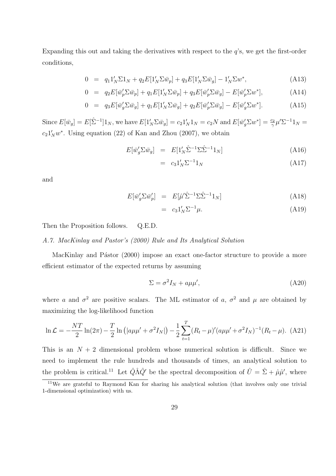Expanding this out and taking the derivatives with respect to the  $q$ 's, we get the first-order conditions,

$$
0 = q_1 1'_N \Sigma 1_N + q_2 E[1'_N \Sigma \bar{w}_p] + q_3 E[1'_N \Sigma \bar{w}_g] - 1'_N \Sigma w^*,
$$
\n(A13)

$$
0 = q_2 E[\overline{w}_p' \Sigma \overline{w}_p] + q_1 E[1'_N \Sigma \overline{w}_p] + q_3 E[\overline{w}_p' \Sigma \overline{w}_g] - E[\overline{w}_p' \Sigma w^*], \tag{A14}
$$

$$
0 = q_3 E[\overline{w}_g' \Sigma \overline{w}_g] + q_1 E[1'_N \Sigma \overline{w}_g] + q_2 E[\overline{w}_p' \Sigma \overline{w}_g] - E[\overline{w}_g' \Sigma w^*]. \tag{A15}
$$

Since  $E[\bar{w}_g] = E[\hat{\Sigma}^{-1}]1_N$ , we have  $E[1'_N \Sigma \bar{w}_g] = c_2 1'_N 1_N = c_2 N$  and  $E[\bar{w}_g' \Sigma w^*] = \frac{c_2}{\gamma} \mu' \Sigma^{-1} 1_N =$  $c_2 1'_N w^*$ . Using equation (22) of Kan and Zhou (2007), we obtain

$$
E[\bar{w}_g' \Sigma \bar{w}_g] = E[1'_N \hat{\Sigma}^{-1} \Sigma \hat{\Sigma}^{-1} 1_N]
$$
\n(A16)

$$
= c_3 1'_N \Sigma^{-1} 1_N \tag{A17}
$$

and

$$
E[\bar{w}_g' \Sigma \bar{w}_p'] = E[\hat{\mu}' \hat{\Sigma}^{-1} \Sigma \hat{\Sigma}^{-1} 1_N] \tag{A18}
$$

$$
= c_3 1'_N \Sigma^{-1} \mu. \tag{A19}
$$

Then the Proposition follows. Q.E.D.

## A.7. MacKinlay and Pastor's (2000) Rule and Its Analytical Solution

MacKinlay and Pástor (2000) impose an exact one-factor structure to provide a more efficient estimator of the expected returns by assuming

$$
\Sigma = \sigma^2 I_N + a\mu\mu',\tag{A20}
$$

where a and  $\sigma^2$  are positive scalars. The ML estimator of a,  $\sigma^2$  and  $\mu$  are obtained by maximizing the log-likelihood function

$$
\ln \mathcal{L} = -\frac{NT}{2} \ln(2\pi) - \frac{T}{2} \ln (|a\mu\mu' + \sigma^2 I_N|) - \frac{1}{2} \sum_{t=1}^T (R_t - \mu)' (a\mu\mu' + \sigma^2 I_N)^{-1} (R_t - \mu). \tag{A21}
$$

This is an  $N + 2$  dimensional problem whose numerical solution is difficult. Since we need to implement the rule hundreds and thousands of times, an analytical solution to the problem is critical.<sup>11</sup> Let  $\hat{Q}\hat{A}\hat{Q}'$  be the spectral decomposition of  $\hat{U} = \hat{\Sigma} + \hat{\mu}\hat{\mu}'$ , where

<sup>&</sup>lt;sup>11</sup>We are grateful to Raymond Kan for sharing his analytical solution (that involves only one trivial 1-dimensional optimization) with us.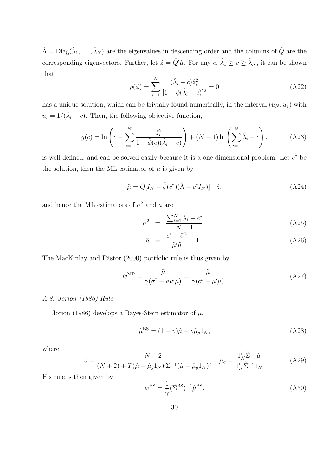$\hat{\Lambda} = \text{Diag}(\hat{\lambda}_1, \dots, \hat{\lambda}_N)$  are the eigenvalues in descending order and the columns of  $\hat{Q}$  are the corresponding eigenvectors. Further, let  $\hat{z} = \hat{Q}'\hat{\mu}$ . For any  $c, \hat{\lambda}_1 \ge c \ge \hat{\lambda}_N$ , it can be shown that

$$
p(\phi) = \sum_{i=1}^{N} \frac{(\hat{\lambda}_i - c)\hat{z}_i^2}{[1 - \phi(\hat{\lambda}_i - c)]^2} = 0
$$
 (A22)

has a unique solution, which can be trivially found numerically, in the interval  $(u_N, u_1)$  with  $u_i = 1/(\hat{\lambda}_i - c)$ . Then, the following objective function,

$$
g(c) = \ln\left(c - \sum_{i=1}^{N} \frac{\hat{z}_i^2}{1 - \tilde{\phi}(c)(\hat{\lambda}_i - c)}\right) + (N - 1)\ln\left(\sum_{i=1}^{N} \hat{\lambda}_i - c\right),\tag{A23}
$$

is well defined, and can be solved easily because it is a one-dimensional problem. Let  $c^*$  be the solution, then the ML estimator of  $\mu$  is given by

$$
\tilde{\mu} = \hat{Q}[I_N - \tilde{\phi}(c^*)(\hat{\Lambda} - c^*I_N)]^{-1}\hat{z},\tag{A24}
$$

and hence the ML estimators of  $\sigma^2$  and a are

$$
\tilde{\sigma}^2 = \frac{\sum_{i=1}^N \lambda_i - c^*}{N - 1},\tag{A25}
$$

$$
\tilde{a} = \frac{c^* - \tilde{\sigma}^2}{\tilde{\mu}' \tilde{\mu}} - 1.
$$
\n(A26)

The MacKinlay and Pástor (2000) portfolio rule is thus given by

$$
\hat{w}^{\text{MP}} = \frac{\tilde{\mu}}{\gamma(\tilde{\sigma}^2 + \tilde{a}\tilde{\mu}'\tilde{\mu})} = \frac{\tilde{\mu}}{\gamma(c^* - \tilde{\mu}'\tilde{\mu})}.
$$
\n(A27)

#### A.8. Jorion (1986) Rule

Jorion (1986) develops a Bayes-Stein estimator of  $\mu$ ,

$$
\hat{\mu}^{\text{BS}} = (1 - v)\hat{\mu} + v\hat{\mu}_g 1_N, \qquad (A28)
$$

where

$$
v = \frac{N+2}{(N+2) + T(\hat{\mu} - \hat{\mu}_g 1_N)'\tilde{\Sigma}^{-1}(\hat{\mu} - \hat{\mu}_g 1_N)}, \quad \hat{\mu}_g = \frac{1_N'\hat{\Sigma}^{-1}\hat{\mu}}{1_N'\hat{\Sigma}^{-1}1_N}.
$$
 (A29)

His rule is then given by

$$
w^{\rm BS} = \frac{1}{\gamma} (\hat{\Sigma}^{\rm BS})^{-1} \hat{\mu}^{\rm BS},\tag{A30}
$$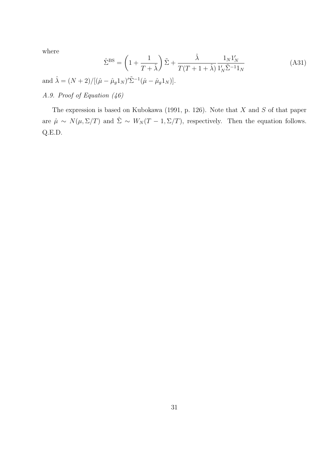where

$$
\hat{\Sigma}^{\rm BS} = \left(1 + \frac{1}{T + \hat{\lambda}}\right)\tilde{\Sigma} + \frac{\hat{\lambda}}{T(T + 1 + \hat{\lambda})} \frac{1_N 1_N'}{1_N' \tilde{\Sigma}^{-1} 1_N} \tag{A31}
$$

and  $\hat{\lambda} = (N+2)/[(\hat{\mu} - \hat{\mu}_g 1_N)'\tilde{\Sigma}^{-1}(\hat{\mu} - \hat{\mu}_g 1_N)].$ 

# A.9. Proof of Equation (46)

The expression is based on Kubokawa (1991, p. 126). Note that  $X$  and  $S$  of that paper are  $\hat{\mu} \sim N(\mu, \Sigma/T)$  and  $\hat{\Sigma} \sim W_N(T-1, \Sigma/T)$ , respectively. Then the equation follows. Q.E.D.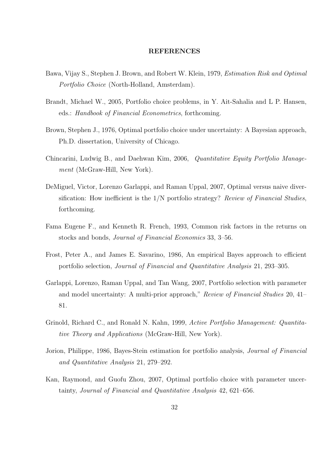#### **REFERENCES**

- Bawa, Vijay S., Stephen J. Brown, and Robert W. Klein, 1979, Estimation Risk and Optimal Portfolio Choice (North-Holland, Amsterdam).
- Brandt, Michael W., 2005, Portfolio choice problems, in Y. Ait-Sahalia and L P. Hansen, eds.: Handbook of Financial Econometrics, forthcoming.
- Brown, Stephen J., 1976, Optimal portfolio choice under uncertainty: A Bayesian approach, Ph.D. dissertation, University of Chicago.
- Chincarini, Ludwig B., and Daehwan Kim, 2006, Quantitative Equity Portfolio Management (McGraw-Hill, New York).
- DeMiguel, Victor, Lorenzo Garlappi, and Raman Uppal, 2007, Optimal versus naive diversification: How inefficient is the  $1/N$  portfolio strategy? Review of Financial Studies, forthcoming.
- Fama Eugene F., and Kenneth R. French, 1993, Common risk factors in the returns on stocks and bonds, Journal of Financial Economics 33, 3–56.
- Frost, Peter A., and James E. Savarino, 1986, An empirical Bayes approach to efficient portfolio selection, Journal of Financial and Quantitative Analysis 21, 293–305.
- Garlappi, Lorenzo, Raman Uppal, and Tan Wang, 2007, Portfolio selection with parameter and model uncertainty: A multi-prior approach," Review of Financial Studies 20, 41– 81.
- Grinold, Richard C., and Ronald N. Kahn, 1999, Active Portfolio Management: Quantitative Theory and Applications (McGraw-Hill, New York).
- Jorion, Philippe, 1986, Bayes-Stein estimation for portfolio analysis, *Journal of Financial* and Quantitative Analysis 21, 279–292.
- Kan, Raymond, and Guofu Zhou, 2007, Optimal portfolio choice with parameter uncertainty, Journal of Financial and Quantitative Analysis 42, 621–656.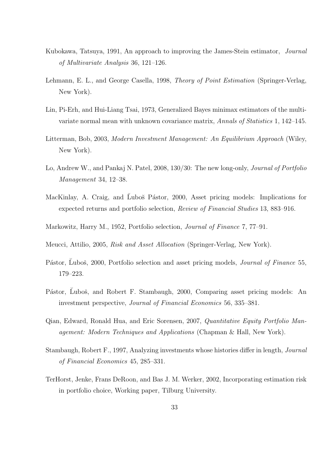- Kubokawa, Tatsuya, 1991, An approach to improving the James-Stein estimator, Journal of Multivariate Analysis 36, 121–126.
- Lehmann, E. L., and George Casella, 1998, Theory of Point Estimation (Springer-Verlag, New York).
- Lin, Pi-Erh, and Hui-Liang Tsai, 1973, Generalized Bayes minimax estimators of the multivariate normal mean with unknown covariance matrix, Annals of Statistics 1, 142–145.
- Litterman, Bob, 2003, Modern Investment Management: An Equilibrium Approach (Wiley, New York).
- Lo, Andrew W., and Pankaj N. Patel, 2008, 130/30: The new long-only, Journal of Portfolio Management 34, 12–38.
- MacKinlay, A. Craig, and Luboš Pástor, 2000, Asset pricing models: Implications for expected returns and portfolio selection, Review of Financial Studies 13, 883–916.
- Markowitz, Harry M., 1952, Portfolio selection, Journal of Finance 7, 77–91.
- Meucci, Attilio, 2005, Risk and Asset Allocation (Springer-Verlag, New York).
- Pástor, Ľuboš, 2000, Portfolio selection and asset pricing models, *Journal of Finance* 55, 179–223.
- Pástor, Ľuboš, and Robert F. Stambaugh, 2000, Comparing asset pricing models: An investment perspective, Journal of Financial Economics 56, 335–381.
- Qian, Edward, Ronald Hua, and Eric Sorensen, 2007, Quantitative Equity Portfolio Management: Modern Techniques and Applications (Chapman & Hall, New York).
- Stambaugh, Robert F., 1997, Analyzing investments whose histories differ in length, Journal of Financial Economics 45, 285–331.
- TerHorst, Jenke, Frans DeRoon, and Bas J. M. Werker, 2002, Incorporating estimation risk in portfolio choice, Working paper, Tilburg University.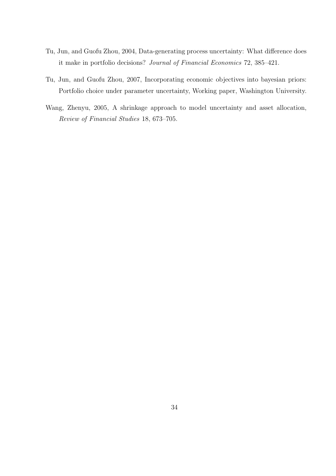- Tu, Jun, and Guofu Zhou, 2004, Data-generating process uncertainty: What difference does it make in portfolio decisions? Journal of Financial Economics 72, 385–421.
- Tu, Jun, and Guofu Zhou, 2007, Incorporating economic objectives into bayesian priors: Portfolio choice under parameter uncertainty, Working paper, Washington University.
- Wang, Zhenyu, 2005, A shrinkage approach to model uncertainty and asset allocation, Review of Financial Studies 18, 673–705.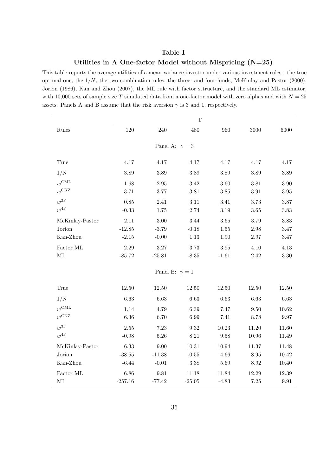## Table I

### Utilities in A One-factor Model without Mispricing (N=25)

This table reports the average utilities of a mean-variance investor under various investment rules: the true optimal one, the  $1/N$ , the two combination rules, the three- and four-funds, McKinlay and Pastor (2000), Jorion (1986), Kan and Zhou (2007), the ML rule with factor sttructure, and the standard ML estimator, with 10,000 sets of sample size T simulated data from a one-factor model with zero alphas and with  $N = 25$ assets. Panels A and B assume that the risk aversion  $\gamma$  is 3 and 1, respectively.

|                       |           |                       | $\mathbf T$         |                     |           |           |  |  |  |
|-----------------------|-----------|-----------------------|---------------------|---------------------|-----------|-----------|--|--|--|
| Rules                 | 120       | 240                   | 480                 | 960                 | 3000      | 6000      |  |  |  |
|                       |           |                       |                     |                     |           |           |  |  |  |
| Panel A: $\gamma = 3$ |           |                       |                     |                     |           |           |  |  |  |
| True                  | 4.17      | 4.17                  | 4.17                | 4.17                | 4.17      | 4.17      |  |  |  |
| 1/N                   | $3.89\,$  | $3.89\,$              | $3.89\,$            | 3.89                | $3.89\,$  | $3.89\,$  |  |  |  |
| $w^{\text{CML}}$      | 1.68      | $\;\:2.95$            | $3.42\,$            | 3.60                | $3.81\,$  | $3.90\,$  |  |  |  |
| $w^{\text{CKZ}}$      | 3.71      | $3.77\,$              | $3.81\,$            | $3.85\,$            | $3.91\,$  | $3.95\,$  |  |  |  |
| $w^\mathrm{3F}$       | 0.85      | 2.41                  | $3.11\,$            | $3.41\,$            | 3.73      | 3.87      |  |  |  |
| $w^{4\mathrm{F}}$     | $-0.33$   | 1.75                  | 2.74                | 3.19                | 3.65      | $3.83\,$  |  |  |  |
| McKinlay-Pastor       | 2.11      | $3.00\,$              | 3.44                | $3.65\,$            | 3.79      | 3.83      |  |  |  |
| Jorion                | $-12.85$  | $-3.79$               | $-0.18$             | $1.55\,$            | $2.98\,$  | 3.47      |  |  |  |
| Kan-Zhou              | $-2.15$   | $-0.00$               | $1.13\,$            | $1.90\,$            | $2.97\,$  | $3.47\,$  |  |  |  |
| Factor ML             | $2.29\,$  | $3.27\,$              | 3.73                | $3.95\,$            | 4.10      | $4.13\,$  |  |  |  |
| $\rm ML$              | $-85.72$  | $-25.81$              | $-8.35$             | $-1.61$             | $2.42\,$  | $3.30\,$  |  |  |  |
|                       |           | Panel B: $\gamma = 1$ |                     |                     |           |           |  |  |  |
|                       |           |                       |                     |                     |           |           |  |  |  |
| True                  | 12.50     | $12.50\,$             | $12.50\,$           | $12.50\,$           | 12.50     | $12.50\,$ |  |  |  |
| 1/N                   | 6.63      | 6.63                  | 6.63                | 6.63                | $6.63\,$  | 6.63      |  |  |  |
| $w^{\text{CML}}$      | 1.14      | 4.79                  | 6.39                | 7.47                | 9.50      | 10.62     |  |  |  |
| $w^{\text{CKZ}}$      | $6.36\,$  | 6.70                  | 6.99                | 7.41                | 8.78      | $9.97\,$  |  |  |  |
| $w^{3F}$              | $2.55\,$  | 7.23                  | $\boldsymbol{9.32}$ | 10.23               | 11.20     | 11.60     |  |  |  |
| $w^{4F}$              | $-0.98$   | $5.26\,$              | $8.21\,$            | $\boldsymbol{9.58}$ | $10.96\,$ | $11.49\,$ |  |  |  |
| McKinlay-Pastor       | 6.33      | $9.00\,$              | $10.31\,$           | 10.94               | 11.37     | 11.48     |  |  |  |
| Jorion                | $-38.55$  | $-11.38$              | $-0.55$             | 4.66                | $8.95\,$  | 10.42     |  |  |  |
| Kan-Zhou              | $-6.44$   | $-0.01$               | $3.38\,$            | $5.69\,$            | $8.92\,$  | 10.40     |  |  |  |
| Factor ML             | 6.86      | 9.81                  | 11.18               | 11.84               | 12.29     | 12.39     |  |  |  |
| $\rm ML$              | $-257.16$ | $-77.42$              | $-25.05$            | $-4.83$             | $7.25\,$  | $\,9.91$  |  |  |  |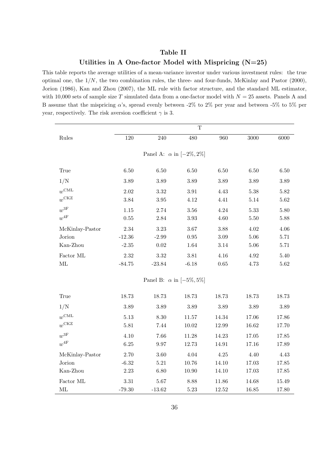# Table II Utilities in A One-factor Model with Mispricing (N=25)

This table reports the average utilities of a mean-variance investor under various investment rules: the true optimal one, the  $1/N$ , the two combination rules, the three- and four-funds, McKinlay and Pastor (2000), Jorion (1986), Kan and Zhou (2007), the ML rule with factor structure, and the standard ML estimator, with 10,000 sets of sample size T simulated data from a one-factor model with  $N = 25$  assets. Panels A and B assume that the mispricing  $\alpha$ 's, spread evenly between -2% to 2% per year and between -5% to 5% per year, respectively. The risk aversion coefficient  $\gamma$  is 3.

|                                    |          |                                    | $\mathbf T$ |           |          |          |  |  |  |  |
|------------------------------------|----------|------------------------------------|-------------|-----------|----------|----------|--|--|--|--|
| Rules                              | 120      | 240                                | 480         | 960       | 3000     | 6000     |  |  |  |  |
|                                    |          |                                    |             |           |          |          |  |  |  |  |
| Panel A: $\alpha$ in $[-2\%, 2\%]$ |          |                                    |             |           |          |          |  |  |  |  |
| True                               | $6.50\,$ | 6.50                               | 6.50        | 6.50      | $6.50\,$ | $6.50\,$ |  |  |  |  |
| 1/N                                | $3.89\,$ | $3.89\,$                           | $3.89\,$    | 3.89      | $3.89\,$ | $3.89\,$ |  |  |  |  |
| $w^{\text{CML}}$                   | $2.02\,$ | 3.32                               | $3.91\,$    | 4.43      | 5.38     | 5.82     |  |  |  |  |
| $w^{\text{CKZ}}$                   | $3.84\,$ | $3.95\,$                           | 4.12        | 4.41      | $5.14\,$ | 5.62     |  |  |  |  |
| $w^\mathrm{3F}$                    | $1.15\,$ | 2.74                               | $3.56\,$    | $4.24\,$  | 5.33     | 5.80     |  |  |  |  |
| $w^{4\mathrm{F}}$                  | $0.55\,$ | 2.84                               | $3.93\,$    | 4.60      | 5.50     | 5.88     |  |  |  |  |
| McKinlay-Pastor                    | 2.34     | 3.23                               | 3.67        | 3.88      | 4.02     | 4.06     |  |  |  |  |
| Jorion                             | $-12.36$ | $-2.99$                            | $\rm 0.95$  | $3.09\,$  | $5.06\,$ | 5.71     |  |  |  |  |
| Kan-Zhou                           | $-2.35$  | $0.02\,$                           | 1.64        | 3.14      | $5.06\,$ | 5.71     |  |  |  |  |
| Factor ML                          | $2.32\,$ | $3.32\,$                           | $3.81\,$    | 4.16      | $4.92\,$ | 5.40     |  |  |  |  |
| ML                                 | $-84.75$ | $-23.84$                           | $-6.18$     | $0.65\,$  | 4.73     | $5.62\,$ |  |  |  |  |
|                                    |          | Panel B: $\alpha$ in $[-5\%, 5\%]$ |             |           |          |          |  |  |  |  |
|                                    |          |                                    |             |           |          |          |  |  |  |  |
| True                               | 18.73    | 18.73                              | 18.73       | 18.73     | 18.73    | 18.73    |  |  |  |  |
| 1/N                                | $3.89\,$ | 3.89                               | $3.89\,$    | 3.89      | $3.89\,$ | 3.89     |  |  |  |  |
| $w^{\text{CML}}$                   | $5.13\,$ | 8.30                               | $11.57\,$   | 14.34     | 17.06    | 17.86    |  |  |  |  |
| $w^{\text{CKZ}}$                   | $5.81\,$ | 7.44                               | $10.02\,$   | 12.99     | 16.62    | 17.70    |  |  |  |  |
| $w^\mathrm{3F}$                    | 4.10     | 7.66                               | 11.28       | 14.23     | 17.05    | 17.85    |  |  |  |  |
| $w^{4F}$                           | $6.25\,$ | $9.97\,$                           | 12.73       | $14.91\,$ | 17.16    | 17.89    |  |  |  |  |
| McKinlay-Pastor                    | $2.70\,$ | 3.60                               | 4.04        | 4.25      | 4.40     | 4.43     |  |  |  |  |
| Jorion                             | $-6.32$  | $5.21\,$                           | 10.76       | 14.10     | 17.03    | 17.85    |  |  |  |  |
| Kan-Zhou                           | $2.23\,$ | 6.80                               | $10.90\,$   | 14.10     | 17.03    | 17.85    |  |  |  |  |
| Factor ML                          | $3.31\,$ | $5.67\,$                           | 8.88        | 11.86     | 14.68    | 15.49    |  |  |  |  |
| ML                                 | $-79.30$ | $-13.62$                           | 5.23        | 12.52     | 16.85    | 17.80    |  |  |  |  |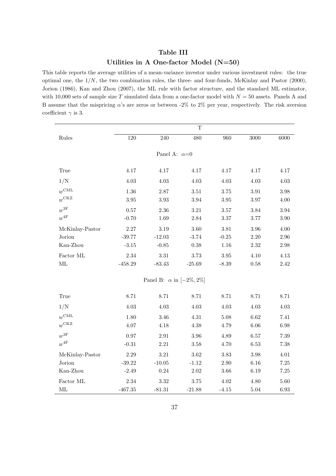# Table III Utilities in A One-factor Model (N=50)

This table reports the average utilities of a mean-variance investor under various investment rules: the true optimal one, the  $1/N$ , the two combination rules, the three- and four-funds, McKinlay and Pastor (2000), Jorion (1986), Kan and Zhou (2007), the ML rule with factor structure, and the standard ML estimator, with 10,000 sets of sample size T simulated data from a one-factor model with  $N = 50$  assets. Panels A and B assume that the mispricing  $\alpha$ 's are zeros or between -2% to 2% per year, respectively. The risk aversion coefficient  $\gamma$  is 3.

|                   |           |                                    | $\mathbf T$ |          |          |          |
|-------------------|-----------|------------------------------------|-------------|----------|----------|----------|
| Rules             | 120       | 240                                | 480         | 960      | 3000     | 6000     |
|                   |           |                                    |             |          |          |          |
|                   |           | Panel A: $\alpha=0$                |             |          |          |          |
| True              | 4.17      | 4.17                               | 4.17        | 4.17     | 4.17     | 4.17     |
| 1/N               | 4.03      | $4.03\,$                           | 4.03        | 4.03     | 4.03     | $4.03\,$ |
| $w^{\text{CML}}$  | $1.36\,$  | $2.87\,$                           | $3.51\,$    | 3.75     | $3.91\,$ | $3.98\,$ |
| $w^{\text{CKZ}}$  | $3.95\,$  | $3.93\,$                           | $3.94\,$    | $3.95\,$ | $3.97\,$ | $4.00\,$ |
| $w^\mathrm{3F}$   | 0.57      | 2.36                               | $3.21\,$    | $3.57\,$ | $3.84\,$ | 3.94     |
| $w^{4\mathrm{F}}$ | $-0.70$   | $1.69\,$                           | 2.84        | $3.37\,$ | 3.77     | $3.90\,$ |
| McKinlay-Pastor   | $2.27\,$  | $3.19\,$                           | 3.60        | 3.81     | 3.96     | 4.00     |
| Jorion            | $-39.77$  | $-12.03$                           | $-3.74$     | $-0.25$  | $2.20\,$ | 2.96     |
| Kan-Zhou          | $-3.15$   | $-0.85$                            | $0.38\,$    | $1.16\,$ | $2.32\,$ | $2.98\,$ |
| Factor ML         | 2.34      | $3.31\,$                           | 3.73        | $3.95\,$ | $4.10\,$ | $4.13\,$ |
| $\rm ML$          | $-458.29$ | $-83.43$                           | $-25.69$    | $-8.39$  | $0.58\,$ | $2.42\,$ |
|                   |           | Panel B: $\alpha$ in $[-2\%, 2\%]$ |             |          |          |          |
|                   |           |                                    |             |          |          |          |
| True              | 8.71      | 8.71                               | 8.71        | 8.71     | 8.71     | 8.71     |
| 1/N               | $4.03\,$  | $4.03\,$                           | 4.03        | $4.03\,$ | 4.03     | $4.03\,$ |
| $w^{\text{CML}}$  | $1.80\,$  | $3.46\,$                           | $4.31\,$    | $5.08\,$ | $6.62\,$ | 7.41     |
| $w^{\text{CKZ}}$  | 4.07      | $4.18\,$                           | 4.38        | 4.79     | $6.06\,$ | $6.98\,$ |
| $w^\mathrm{3F}$   | 0.97      | $2.91\,$                           | 3.96        | 4.89     | 6.57     | $7.39\,$ |
| $w^{4F}$          | $-0.31$   | $2.21\,$                           | $3.58\,$    | 4.70     | $6.53\,$ | 7.38     |
| McKinlay-Pastor   | $2.29\,$  | $3.21\,$                           | $3.62\,$    | 3.83     | $3.98\,$ | $4.01\,$ |
| Jorion            | $-39.22$  | $-10.05$                           | $-1.12$     | $2.90\,$ | 6.16     | $7.25\,$ |
| Kan-Zhou          | $-2.49$   | $0.24\,$                           | $2.02\,$    | $3.66\,$ | $6.19\,$ | $7.25\,$ |
| Factor $\rm ML$   | $2.34\,$  | $3.32\,$                           | $3.75\,$    | $4.02\,$ | 4.80     | 5.60     |
| ML                | $-467.35$ | $-81.31$                           | $-21.88$    | $-4.15$  | 5.04     | 6.93     |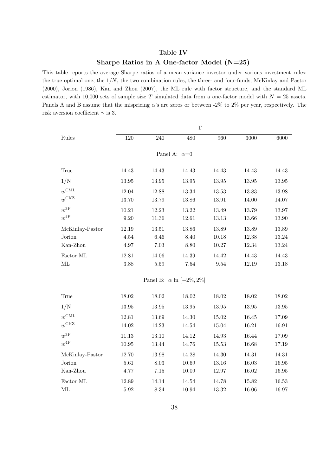# Table IV

# Sharpe Ratios in A One-factor Model (N=25)

This table reports the average Sharpe ratios of a mean-variance investor under various investment rules: the true optimal one, the  $1/N$ , the two combination rules, the three- and four-funds, McKinlay and Pastor (2000), Jorion (1986), Kan and Zhou (2007), the ML rule with factor structure, and the standard ML estimator, with 10,000 sets of sample size T simulated data from a one-factor model with  $N = 25$  assets. Panels A and B assume that the mispricing  $\alpha$ 's are zeros or between -2% to 2% per year, respectively. The risk aversion coefficient  $\gamma$  is 3.

|                     | $\mathbf T$ |           |                                    |             |           |           |  |  |  |  |  |
|---------------------|-------------|-----------|------------------------------------|-------------|-----------|-----------|--|--|--|--|--|
| Rules               | 120         | 240       | 480                                | 960         | 3000      | 6000      |  |  |  |  |  |
|                     |             |           |                                    |             |           |           |  |  |  |  |  |
| Panel A: $\alpha=0$ |             |           |                                    |             |           |           |  |  |  |  |  |
| True                | 14.43       | 14.43     | 14.43                              | 14.43       | 14.43     | 14.43     |  |  |  |  |  |
| 1/N                 | $13.95\,$   | $13.95\,$ | $13.95\,$                          | $13.95\,$   | $13.95\,$ | $13.95\,$ |  |  |  |  |  |
| $w^{\text{CML}}$    | 12.04       | 12.88     | 13.34                              | $13.53\,$   | 13.83     | 13.98     |  |  |  |  |  |
| $w^{\text{CKZ}}$    | 13.70       | 13.79     | $13.86\,$                          | 13.91       | 14.00     | 14.07     |  |  |  |  |  |
| $w^\mathrm{3F}$     | 10.21       | 12.23     | 13.22                              | 13.49       | 13.79     | 13.97     |  |  |  |  |  |
| $w^{4\mathrm{F}}$   | $9.20\,$    | $11.36\,$ | 12.61                              | 13.13       | 13.66     | 13.90     |  |  |  |  |  |
| McKinlay-Pastor     | 12.19       | $13.51\,$ | 13.86                              | 13.89       | 13.89     | 13.89     |  |  |  |  |  |
| Jorion              | 4.54        | $6.46\,$  | 8.40                               | 10.18       | 12.38     | 13.24     |  |  |  |  |  |
| Kan-Zhou            | $4.97\,$    | $7.03\,$  | $8.80\,$                           | $10.27\,$   | $12.34\,$ | 13.24     |  |  |  |  |  |
| Factor ML           | 12.81       | 14.06     | 14.39                              | 14.42       | 14.43     | 14.43     |  |  |  |  |  |
| $\rm ML$            | 3.88        | $5.59\,$  | $7.54\,$                           | $\ \, 9.54$ | $12.19\,$ | $13.18\,$ |  |  |  |  |  |
|                     |             |           | Panel B: $\alpha$ in $[-2\%, 2\%]$ |             |           |           |  |  |  |  |  |
|                     |             |           |                                    |             |           |           |  |  |  |  |  |
| True                | $18.02\,$   | $18.02\,$ | 18.02                              | $18.02\,$   | 18.02     | $18.02\,$ |  |  |  |  |  |
| 1/N                 | 13.95       | $13.95\,$ | $13.95\,$                          | 13.95       | $13.95\,$ | $13.95\,$ |  |  |  |  |  |
| $w^{\text{CML}}$    | 12.81       | 13.69     | 14.30                              | $15.02\,$   | $16.45\,$ | 17.09     |  |  |  |  |  |
| $w^{\text{CKZ}}$    | 14.02       | 14.23     | 14.54                              | 15.04       | 16.21     | 16.91     |  |  |  |  |  |
| $w^{3F}$            | 11.13       | 13.10     | 14.12                              | 14.93       | 16.44     | 17.09     |  |  |  |  |  |
| $w^{4\mathrm{F}}$   | $10.95\,$   | $13.44\,$ | 14.76                              | $15.53\,$   | 16.68     | 17.19     |  |  |  |  |  |
| McKinlay-Pastor     | 12.70       | $13.98\,$ | $14.28\,$                          | $14.30\,$   | $14.31\,$ | 14.31     |  |  |  |  |  |
| Jorion              | $5.61\,$    | $8.03\,$  | 10.69                              | $13.16\,$   | 16.03     | 16.95     |  |  |  |  |  |
| Kan-Zhou            | 4.77        | $7.15\,$  | $10.09\,$                          | 12.97       | $16.02\,$ | $16.95\,$ |  |  |  |  |  |
| $\rm Factor$ ML     | 12.89       | 14.14     | 14.54                              | 14.78       | 15.82     | 16.53     |  |  |  |  |  |
| ML                  | $5.92\,$    | 8.34      | 10.94                              | 13.32       | 16.06     | 16.97     |  |  |  |  |  |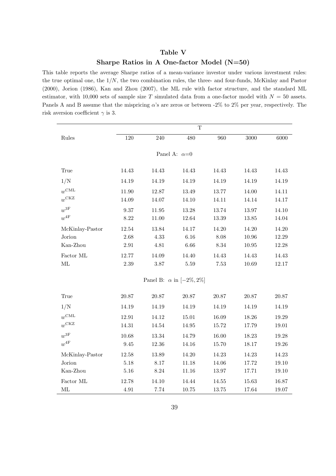## Table V

# Sharpe Ratios in A One-factor Model (N=50)

This table reports the average Sharpe ratios of a mean-variance investor under various investment rules: the true optimal one, the  $1/N$ , the two combination rules, the three- and four-funds, McKinlay and Pastor (2000), Jorion (1986), Kan and Zhou (2007), the ML rule with factor structure, and the standard ML estimator, with 10,000 sets of sample size T simulated data from a one-factor model with  $N = 50$  assets. Panels A and B assume that the mispricing  $\alpha$ 's are zeros or between -2% to 2% per year, respectively. The risk aversion coefficient  $\gamma$  is 3.

|                     |             |           | $\mathbf T$                        |          |       |       |  |  |  |  |
|---------------------|-------------|-----------|------------------------------------|----------|-------|-------|--|--|--|--|
| Rules               | 120         | $240\,$   | 480                                | 960      | 3000  | 6000  |  |  |  |  |
|                     |             |           |                                    |          |       |       |  |  |  |  |
| Panel A: $\alpha=0$ |             |           |                                    |          |       |       |  |  |  |  |
| True                | 14.43       | 14.43     | 14.43                              | 14.43    | 14.43 | 14.43 |  |  |  |  |
|                     |             |           |                                    |          |       |       |  |  |  |  |
| 1/N                 | 14.19       | 14.19     | 14.19                              | 14.19    | 14.19 | 14.19 |  |  |  |  |
| $w^{\text{CML}}$    | 11.90       | 12.87     | 13.49                              | 13.77    | 14.00 | 14.11 |  |  |  |  |
| $w^{\text{CKZ}}$    | 14.09       | 14.07     | 14.10                              | 14.11    | 14.14 | 14.17 |  |  |  |  |
| $w^\mathrm{3F}$     | 9.37        | 11.95     | 13.28                              | 13.74    | 13.97 | 14.10 |  |  |  |  |
| $w^{4\mathrm{F}}$   | $8.22\,$    | $11.00\,$ | 12.64                              | 13.39    | 13.85 | 14.04 |  |  |  |  |
| McKinlay-Pastor     | 12.54       | 13.84     | 14.17                              | 14.20    | 14.20 | 14.20 |  |  |  |  |
| Jorion              | 2.68        | 4.33      | 6.16                               | 8.08     | 10.96 | 12.29 |  |  |  |  |
| Kan-Zhou            | $2.91\,$    | $4.81\,$  | $6.66\,$                           | $8.34\,$ | 10.95 | 12.28 |  |  |  |  |
| Factor ML           | 12.77       | 14.09     | 14.40                              | 14.43    | 14.43 | 14.43 |  |  |  |  |
| ML                  | 2.39        | $3.87\,$  | $5.59\,$                           | 7.53     | 10.69 | 12.17 |  |  |  |  |
|                     |             |           |                                    |          |       |       |  |  |  |  |
|                     |             |           | Panel B: $\alpha$ in $[-2\%, 2\%]$ |          |       |       |  |  |  |  |
| True                | $20.87\,$   | $20.87\,$ | $20.87\,$                          | 20.87    | 20.87 | 20.87 |  |  |  |  |
| 1/N                 | 14.19       | 14.19     | 14.19                              | 14.19    | 14.19 | 14.19 |  |  |  |  |
| $w^{\text{CML}}$    | 12.91       | 14.12     | 15.01                              | 16.09    | 18.26 | 19.29 |  |  |  |  |
| $w^{\text{CKZ}}$    | 14.31       | $14.54\,$ | 14.95                              | 15.72    | 17.79 | 19.01 |  |  |  |  |
| $w^{3F}$            | 10.68       | 13.34     | 14.79                              | 16.00    | 18.23 | 19.28 |  |  |  |  |
| $w^{4F}$            | $\ \, 9.45$ | 12.36     | 14.16                              | 15.70    | 18.17 | 19.26 |  |  |  |  |
| McKinlay-Pastor     | $12.58\,$   | $13.89\,$ | $14.20\,$                          | 14.23    | 14.23 | 14.23 |  |  |  |  |
| Jorion              | $5.18\,$    | $8.17\,$  | 11.18                              | 14.06    | 17.72 | 19.10 |  |  |  |  |
| Kan-Zhou            | $5.16\,$    | $8.24\,$  | 11.16                              | 13.97    | 17.71 | 19.10 |  |  |  |  |
| $\rm Factor$ ML     | 12.78       | 14.10     | 14.44                              | 14.55    | 15.63 | 16.87 |  |  |  |  |
| ML                  | 4.91        | 7.74      | 10.75                              | 13.75    | 17.64 | 19.07 |  |  |  |  |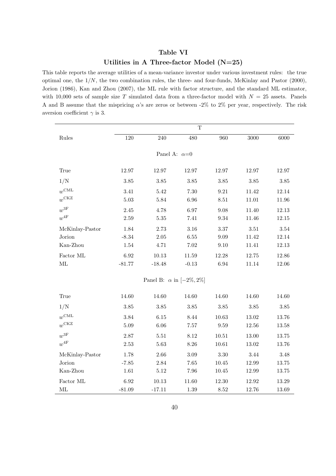# Table VI Utilities in A Three-factor Model (N=25)

This table reports the average utilities of a mean-variance investor under various investment rules: the true optimal one, the  $1/N$ , the two combination rules, the three- and four-funds, McKinlay and Pastor (2000), Jorion (1986), Kan and Zhou (2007), the ML rule with factor structure, and the standard ML estimator, with 10,000 sets of sample size T simulated data from a three-factor model with  $N = 25$  assets. Panels A and B assume that the mispricing  $\alpha$ 's are zeros or between -2% to 2% per year, respectively. The risk aversion coefficient  $\gamma$  is 3.

|                                        |                             |                                    | $\mathbf T$                  |                              |                            |                            |  |  |  |  |
|----------------------------------------|-----------------------------|------------------------------------|------------------------------|------------------------------|----------------------------|----------------------------|--|--|--|--|
| Rules                                  | 120                         | 240                                | 480                          | 960                          | 3000                       | 6000                       |  |  |  |  |
|                                        |                             |                                    |                              |                              |                            |                            |  |  |  |  |
| Panel A: $\alpha=0$                    |                             |                                    |                              |                              |                            |                            |  |  |  |  |
| True                                   | $12.97\,$                   | 12.97                              | $12.97\,$                    | 12.97                        | 12.97                      | 12.97                      |  |  |  |  |
| 1/N                                    | $3.85\,$                    | $3.85\,$                           | $3.85\,$                     | $3.85\,$                     | $3.85\,$                   | $3.85\,$                   |  |  |  |  |
| $w^{\text{CML}}$<br>$w^{\text{CKZ}}$   | 3.41<br>$5.03\,$            | 5.42<br>5.84                       | 7.30<br>6.96                 | 9.21<br>$8.51\,$             | 11.42<br>11.01             | 12.14<br>11.96             |  |  |  |  |
| $w^\mathrm{3F}$<br>$w^{4\mathrm{F}}$   | $2.45\,$<br>2.59            | 4.78<br>$5.35\,$                   | 6.97<br>7.41                 | 9.08<br>$\boldsymbol{9.34}$  | 11.40<br>11.46             | 12.13<br>$12.15\,$         |  |  |  |  |
| McKinlay-Pastor<br>Jorion<br>Kan-Zhou  | 1.84<br>$-8.34$<br>$1.54\,$ | 2.73<br>$2.05\,$<br>4.71           | 3.16<br>$6.55\,$<br>$7.02\,$ | $3.37\,$<br>$9.09\,$<br>9.10 | $3.51\,$<br>11.42<br>11.41 | $3.54\,$<br>12.14<br>12.13 |  |  |  |  |
| Factor ML<br>$\rm ML$                  | 6.92<br>$-81.77$            | $10.13\,$<br>$-18.48$              | 11.59<br>$-0.13$             | 12.28<br>6.94                | 12.75<br>11.14             | $12.86\,$<br>$12.06\,$     |  |  |  |  |
|                                        |                             | Panel B: $\alpha$ in $[-2\%, 2\%]$ |                              |                              |                            |                            |  |  |  |  |
| True                                   | 14.60                       | 14.60                              | 14.60                        | 14.60                        | 14.60                      | 14.60                      |  |  |  |  |
| 1/N                                    | 3.85                        | 3.85                               | $3.85\,$                     | $3.85\,$                     | $3.85\,$                   | $3.85\,$                   |  |  |  |  |
| $w^{\text{CML}}$<br>$w^{\mathrm{CKZ}}$ | $\!.84$<br>$5.09\,$         | 6.15<br>6.06                       | 8.44<br>7.57                 | 10.63<br>9.59                | $13.02\,$<br>12.56         | 13.76<br>$13.58\,$         |  |  |  |  |
| $w^{3F}$<br>$w^{4F}$                   | $2.87\,$<br>$2.53\,$        | 5.51<br>5.63                       | 8.12<br>$8.26\,$             | $10.51\,$<br>10.61           | 13.00<br>$13.02\,$         | 13.75<br>13.76             |  |  |  |  |
| McKinlay-Pastor<br>Jorion<br>Kan-Zhou  | 1.78<br>$-7.85$<br>1.61     | 2.66<br>2.84<br>$5.12\,$           | $3.09\,$<br>$7.65\,$<br>7.96 | 3.30<br>$10.45\,$<br>10.45   | 3.44<br>12.99<br>12.99     | 3.48<br>$13.75\,$<br>13.75 |  |  |  |  |
| Factor ML<br>ML                        | 6.92<br>$-81.09$            | 10.13<br>$-17.11$                  | 11.60<br>1.39                | 12.30<br>8.52                | 12.92<br>12.76             | 13.29<br>13.69             |  |  |  |  |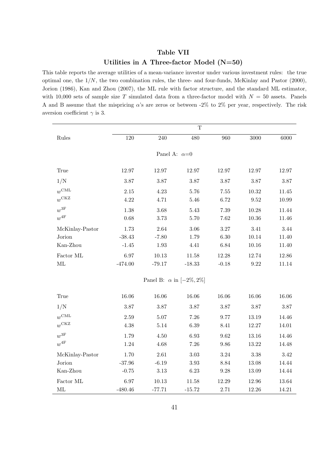# Table VII Utilities in A Three-factor Model (N=50)

This table reports the average utilities of a mean-variance investor under various investment rules: the true optimal one, the  $1/N$ , the two combination rules, the three- and four-funds, McKinlay and Pastor (2000), Jorion (1986), Kan and Zhou (2007), the ML rule with factor structure, and the standard ML estimator, with 10,000 sets of sample size T simulated data from a three-factor model with  $N = 50$  assets. Panels A and B assume that the mispricing  $\alpha$ 's are zeros or between -2% to 2% per year, respectively. The risk aversion coefficient  $\gamma$  is 3.

|                     |           |                                    | $\mathbf T$ |                     |             |           |  |  |  |  |
|---------------------|-----------|------------------------------------|-------------|---------------------|-------------|-----------|--|--|--|--|
| Rules               | 120       | 240                                | 480         | 960                 | 3000        | 6000      |  |  |  |  |
|                     |           |                                    |             |                     |             |           |  |  |  |  |
| Panel A: $\alpha=0$ |           |                                    |             |                     |             |           |  |  |  |  |
| True                | 12.97     | 12.97                              | 12.97       | 12.97               | 12.97       | 12.97     |  |  |  |  |
| 1/N                 | 3.87      | 3.87                               | $3.87\,$    | $3.87\,$            | 3.87        | 3.87      |  |  |  |  |
| $w^{\text{CML}}$    | $2.15\,$  | 4.23                               | 5.76        | $7.55\,$            | 10.32       | 11.45     |  |  |  |  |
| $w^{\text{CKZ}}$    | 4.22      | 4.71                               | 5.46        | 6.72                | 9.52        | 10.99     |  |  |  |  |
| $w^\mathrm{3F}$     | 1.38      | 3.68                               | 5.43        | 7.39                | 10.28       | 11.44     |  |  |  |  |
| $w^{4F}$            | 0.68      | 3.73                               | $5.70\,$    | $7.62\,$            | 10.36       | 11.46     |  |  |  |  |
| McKinlay-Pastor     | 1.73      | 2.64                               | $3.06\,$    | $3.27\,$            | 3.41        | 3.44      |  |  |  |  |
| Jorion              | $-38.43$  | $-7.80$                            | 1.79        | $6.30\,$            | 10.14       | 11.40     |  |  |  |  |
| Kan-Zhou            | $-1.45$   | 1.93                               | 4.41        | $6.84\,$            | $10.16\,$   | 11.40     |  |  |  |  |
| Factor ML           | 6.97      | 10.13                              | 11.58       | 12.28               | 12.74       | $12.86\,$ |  |  |  |  |
| $\rm ML$            | $-474.00$ | $-79.17$                           | $-18.33$    | $-0.18$             | $\ \, 9.22$ | 11.14     |  |  |  |  |
|                     |           | Panel B: $\alpha$ in $[-2\%, 2\%]$ |             |                     |             |           |  |  |  |  |
|                     |           |                                    |             |                     |             |           |  |  |  |  |
| True                | 16.06     | 16.06                              | $16.06\,$   | 16.06               | 16.06       | 16.06     |  |  |  |  |
| 1/N                 | 3.87      | 3.87                               | $3.87\,$    | $3.87\,$            | 3.87        | $3.87\,$  |  |  |  |  |
| $w^{\text{CML}}$    | $2.59\,$  | 5.07                               | 7.26        | 9.77                | 13.19       | 14.46     |  |  |  |  |
| $w^{\text{CKZ}}$    | $4.38\,$  | $5.14\,$                           | $6.39\,$    | $8.41\,$            | 12.27       | 14.01     |  |  |  |  |
| $w^\mathrm{3F}$     | 1.79      | 4.50                               | 6.93        | $\boldsymbol{9.62}$ | 13.16       | 14.46     |  |  |  |  |
| $w^{4\mathrm{F}}$   | 1.24      | 4.68                               | $7.26\,$    | $9.86\,$            | 13.22       | 14.48     |  |  |  |  |
| McKinlay-Pastor     | 1.70      | 2.61                               | $3.03\,$    | $3.24\,$            | $3.38\,$    | 3.42      |  |  |  |  |
| Jorion              | $-37.96$  | $-6.19$                            | $3.93\,$    | $8.84\,$            | 13.08       | 14.44     |  |  |  |  |
| Kan-Zhou            | $-0.75$   | $3.13\,$                           | 6.23        | $9.28\,$            | 13.09       | 14.44     |  |  |  |  |
| Factor ML           | 6.97      | 10.13                              | 11.58       | 12.29               | 12.96       | 13.64     |  |  |  |  |
| ML                  | $-480.46$ | $-77.71$                           | $-15.72$    | 2.71                | 12.26       | 14.21     |  |  |  |  |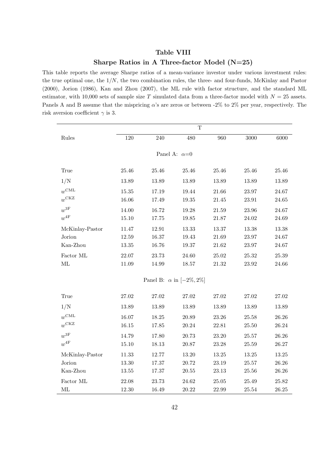## Table VIII

### Sharpe Ratios in A Three-factor Model (N=25)

This table reports the average Sharpe ratios of a mean-variance investor under various investment rules: the true optimal one, the  $1/N$ , the two combination rules, the three- and four-funds, McKinlay and Pastor (2000), Jorion (1986), Kan and Zhou (2007), the ML rule with factor structure, and the standard ML estimator, with 10,000 sets of sample size T simulated data from a three-factor model with  $N = 25$  assets. Panels A and B assume that the mispricing  $\alpha$ 's are zeros or between -2% to 2% per year, respectively. The risk aversion coefficient  $\gamma$  is 3.

|                           |           |           | $\mathbf T$                        |           |           |           |
|---------------------------|-----------|-----------|------------------------------------|-----------|-----------|-----------|
| $\label{rm} \hbox{Rules}$ | $120\,$   | $240\,$   | 480                                | 960       | $3000\,$  | 6000      |
|                           |           |           |                                    |           |           |           |
|                           |           |           | Panel A: $\alpha=0$                |           |           |           |
| True                      | $25.46\,$ | $25.46\,$ | 25.46                              | 25.46     | 25.46     | 25.46     |
| 1/N                       | 13.89     | 13.89     | 13.89                              | 13.89     | 13.89     | 13.89     |
| $w^{\text{CML}}$          | $15.35\,$ | 17.19     | 19.44                              | 21.66     | 23.97     | 24.67     |
| $w^{\text{CKZ}}$          | 16.06     | 17.49     | $19.35\,$                          | 21.45     | $23.91\,$ | $24.65\,$ |
| $w^\mathrm{3F}$           | 14.00     | 16.72     | 19.28                              | $21.59\,$ | 23.96     | 24.67     |
| $w^{4F}$                  | 15.10     | 17.75     | 19.85                              | 21.87     | 24.02     | 24.69     |
| McKinlay-Pastor           | 11.47     | 12.91     | $13.33\,$                          | 13.37     | 13.38     | 13.38     |
| Jorion                    | 12.59     | 16.37     | 19.43                              | 21.69     | 23.97     | 24.67     |
| Kan-Zhou                  | $13.35\,$ | 16.76     | $19.37\,$                          | $21.62\,$ | 23.97     | 24.67     |
| Factor ML                 | 22.07     | 23.73     | 24.60                              | 25.02     | $25.32\,$ | $25.39\,$ |
| $\rm ML$                  | $11.09\,$ | 14.99     | $18.57\,$                          | $21.32\,$ | $23.92\,$ | 24.66     |
|                           |           |           | Panel B: $\alpha$ in $[-2\%, 2\%]$ |           |           |           |
|                           |           |           |                                    |           |           |           |
| True                      | $27.02\,$ | $27.02\,$ | $27.02\,$                          | $27.02\,$ | 27.02     | 27.02     |
| 1/N                       | 13.89     | 13.89     | 13.89                              | 13.89     | 13.89     | 13.89     |
| $w^{\text{CML}}$          | 16.07     | 18.25     | 20.89                              | 23.26     | $25.58\,$ | $26.26\,$ |
| $w^{\text{CKZ}}$          | 16.15     | 17.85     | 20.24                              | 22.81     | 25.50     | 26.24     |
| $w^{3F}$                  | 14.79     | 17.80     | 20.73                              | 23.20     | $25.57\,$ | $26.26\,$ |
| $w^{4F}$                  | 15.10     | 18.13     | 20.87                              | 23.28     | $25.59\,$ | 26.27     |
| McKinlay-Pastor           | 11.33     | 12.77     | 13.20                              | $13.25\,$ | $13.25\,$ | 13.25     |
| Jorion                    | 13.30     | 17.37     | 20.72                              | 23.19     | $25.57\,$ | 26.26     |
| Kan-Zhou                  | $13.55\,$ | 17.37     | $20.55\,$                          | 23.13     | $25.56\,$ | $26.26\,$ |
| Factor ML                 | 22.08     | 23.73     | 24.62                              | $25.05\,$ | 25.49     | 25.82     |
| $\rm ML$                  | 12.30     | 16.49     | $20.22\,$                          | 22.99     | $25.54\,$ | 26.25     |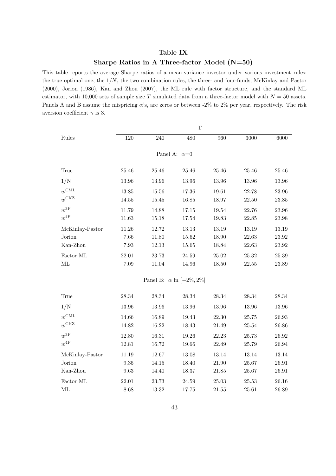## Table IX

# Sharpe Ratios in A Three-factor Model (N=50)

This table reports the average Sharpe ratios of a mean-variance investor under various investment rules: the true optimal one, the  $1/N$ , the two combination rules, the three- and four-funds, McKinlay and Pastor (2000), Jorion (1986), Kan and Zhou (2007), the ML rule with factor structure, and the standard ML estimator, with 10,000 sets of sample size T simulated data from a three-factor model with  $N = 50$  assets. Panels A and B assume the mispricing  $\alpha$ 's, are zeros or between -2% to 2% per year, respectively. The risk aversion coefficient  $\gamma$  is 3.

|                     |           |           | $\mathbf T$                        |           |           |           |  |  |  |  |
|---------------------|-----------|-----------|------------------------------------|-----------|-----------|-----------|--|--|--|--|
| Rules               | 120       | 240       | 480                                | 960       | 3000      | 6000      |  |  |  |  |
|                     |           |           |                                    |           |           |           |  |  |  |  |
| Panel A: $\alpha=0$ |           |           |                                    |           |           |           |  |  |  |  |
| True                | 25.46     | $25.46\,$ | 25.46                              | 25.46     | 25.46     | 25.46     |  |  |  |  |
| 1/N                 | 13.96     | 13.96     | 13.96                              | 13.96     | $13.96\,$ | $13.96\,$ |  |  |  |  |
| $w^{\text{CML}}$    | 13.85     | 15.56     | $17.36\,$                          | 19.61     | 22.78     | $23.96\,$ |  |  |  |  |
| $w^{\text{CKZ}}$    | 14.55     | 15.45     | 16.85                              | 18.97     | 22.50     | $23.85\,$ |  |  |  |  |
| $w^\mathrm{3F}$     | 11.79     | 14.88     | 17.15                              | 19.54     | 22.76     | 23.96     |  |  |  |  |
| $w^{4\mathrm{F}}$   | 11.63     | 15.18     | $17.54\,$                          | 19.83     | 22.85     | $23.98\,$ |  |  |  |  |
| McKinlay-Pastor     | 11.26     | 12.72     | 13.13                              | 13.19     | 13.19     | 13.19     |  |  |  |  |
| Jorion              | 7.66      | 11.80     | 15.62                              | 18.90     | 22.63     | $23.92\,$ |  |  |  |  |
| Kan-Zhou            | 7.93      | 12.13     | $15.65\,$                          | 18.84     | 22.63     | 23.92     |  |  |  |  |
| Factor ML           | 22.01     | 23.73     | 24.59                              | 25.02     | $25.32\,$ | $25.39\,$ |  |  |  |  |
| $\rm ML$            | 7.09      | $11.04\,$ | 14.96                              | 18.50     | $22.55\,$ | 23.89     |  |  |  |  |
|                     |           |           | Panel B: $\alpha$ in $[-2\%, 2\%]$ |           |           |           |  |  |  |  |
|                     |           |           |                                    |           |           |           |  |  |  |  |
| True                | $28.34\,$ | $28.34\,$ | $28.34\,$                          | $28.34\,$ | $28.34\,$ | $28.34\,$ |  |  |  |  |
| 1/N                 | 13.96     | 13.96     | 13.96                              | 13.96     | 13.96     | $13.96\,$ |  |  |  |  |
| $w^{\text{CML}}$    | 14.66     | 16.89     | 19.43                              | 22.30     | $25.75\,$ | $26.93\,$ |  |  |  |  |
| $w^{\text{CKZ}}$    | 14.82     | $16.22\,$ | 18.43                              | 21.49     | 25.54     | 26.86     |  |  |  |  |
| $w^{3F}$            | 12.80     | 16.31     | 19.26                              | 22.23     | 25.73     | $26.92\,$ |  |  |  |  |
| $w^{4F}$            | 12.81     | 16.72     | 19.66                              | 22.49     | 25.79     | $26.94\,$ |  |  |  |  |
| McKinlay-Pastor     | 11.19     | 12.67     | $13.08\,$                          | 13.14     | 13.14     | 13.14     |  |  |  |  |
| Jorion              | $\,9.35$  | 14.15     | 18.40                              | 21.90     | $25.67\,$ | $26.91\,$ |  |  |  |  |
| Kan-Zhou            | $9.63\,$  | 14.40     | 18.37                              | 21.85     | 25.67     | $26.91\,$ |  |  |  |  |
| Factor ML           | 22.01     | 23.73     | 24.59                              | 25.03     | 25.53     | 26.16     |  |  |  |  |
| ML                  | 8.68      | 13.32     | 17.75                              | 21.55     | 25.61     | 26.89     |  |  |  |  |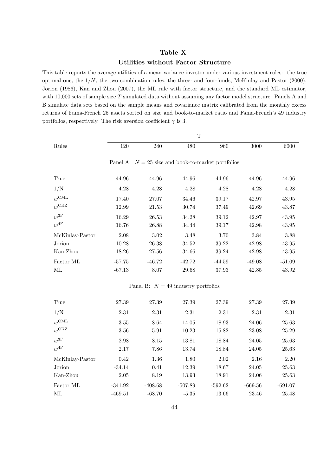# Table X Utilities without Factor Structure

This table reports the average utilities of a mean-variance investor under various investment rules: the true optimal one, the  $1/N$ , the two combination rules, the three- and four-funds, McKinlay and Pastor (2000), Jorion (1986), Kan and Zhou (2007), the ML rule with factor structure, and the standard ML estimator, with  $10,000$  sets of sample size T simulated data without assuming any factor model structure. Panels A and B simulate data sets based on the sample means and covariance matrix calibrated from the monthly excess returns of Fama-French 25 assets sorted on size and book-to-market ratio and Fama-French's 49 industry portfolios, respectively. The risk aversion coefficient  $\gamma$  is 3.

|                    | $\mathbf T$ |           |                                       |                                                      |           |           |  |  |  |  |
|--------------------|-------------|-----------|---------------------------------------|------------------------------------------------------|-----------|-----------|--|--|--|--|
| Rules              | 120         | 240       | 480                                   | 960                                                  | 3000      | 6000      |  |  |  |  |
|                    |             |           |                                       |                                                      |           |           |  |  |  |  |
|                    |             |           |                                       | Panel A: $N = 25$ size and book-to-market portfolios |           |           |  |  |  |  |
| True               | 44.96       | 44.96     | 44.96                                 | 44.96                                                | 44.96     | 44.96     |  |  |  |  |
| 1/N                | 4.28        | 4.28      | 4.28                                  | 4.28                                                 | 4.28      | 4.28      |  |  |  |  |
| $w^{\text{CML}}$   | 17.40       | 27.07     | 34.46                                 | 39.17                                                | 42.97     | 43.95     |  |  |  |  |
| $w^{\text{CKZ}}$   | 12.99       | $21.53\,$ | 30.74                                 | 37.49                                                | 42.69     | 43.87     |  |  |  |  |
| $w^{3F}$           | 16.29       | 26.53     | 34.28                                 | 39.12                                                | 42.97     | 43.95     |  |  |  |  |
| $w^{4\mathrm{F}}$  | 16.76       | 26.88     | 34.44                                 | 39.17                                                | 42.98     | 43.95     |  |  |  |  |
| McKinlay-Pastor    | 2.08        | $3.02\,$  | 3.48                                  | 3.70                                                 | 3.84      | 3.88      |  |  |  |  |
| Jorion             | 10.28       | 26.38     | 34.52                                 | 39.22                                                | 42.98     | 43.95     |  |  |  |  |
| Kan-Zhou           | 18.26       | 27.56     | 34.66                                 | 39.24                                                | 42.98     | $43.95\,$ |  |  |  |  |
| Factor ML          | $-57.75$    | $-46.72$  | $-42.72$                              | $-44.59$                                             | $-49.08$  | $-51.09$  |  |  |  |  |
| $\rm ML$           | $-67.13$    | 8.07      | 29.68                                 | $37.93\,$                                            | 42.85     | 43.92     |  |  |  |  |
|                    |             |           | Panel B: $N = 49$ industry portfolios |                                                      |           |           |  |  |  |  |
| True               | $27.39\,$   | $27.39\,$ | $27.39\,$                             | $27.39\,$                                            | $27.39\,$ | 27.39     |  |  |  |  |
| 1/N                | 2.31        | 2.31      | $2.31\,$                              | $2.31\,$                                             | 2.31      | $2.31\,$  |  |  |  |  |
| $w^{\text{CML}}$   | 3.55        | 8.64      | 14.05                                 | 18.93                                                | 24.06     | 25.63     |  |  |  |  |
| $w^{\mathrm{CKZ}}$ | 3.56        | $5.91\,$  | 10.23                                 | 15.82                                                | $23.08\,$ | $25.29\,$ |  |  |  |  |
| $w^\mathrm{3F}$    | 2.98        | 8.15      | 13.81                                 | 18.84                                                | 24.05     | 25.63     |  |  |  |  |
| $w^{4\mathrm{F}}$  | 2.17        | 7.86      | 13.74                                 | 18.84                                                | 24.05     | $25.63\,$ |  |  |  |  |
| McKinlay-Pastor    | 0.42        | 1.36      | 1.80                                  | 2.02                                                 | 2.16      | 2.20      |  |  |  |  |
| Jorion             | $-34.14$    | 0.41      | $12.39\,$                             | 18.67                                                | $24.05\,$ | $25.63\,$ |  |  |  |  |
| Kan-Zhou           | 2.05        | 8.19      | 13.93                                 | 18.91                                                | 24.06     | 25.63     |  |  |  |  |
| Factor ML          | $-341.92$   | $-408.68$ | $-507.89$                             | $-592.62$                                            | $-669.56$ | $-691.07$ |  |  |  |  |
| $\rm ML$           | $-469.51$   | $-68.70$  | $\textbf{-5.35}$                      | 13.66                                                | $23.46\,$ | $25.48\,$ |  |  |  |  |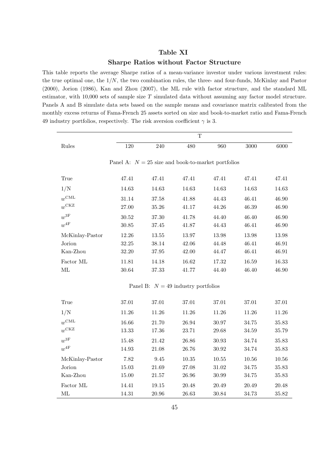### Table XI

### Sharpe Ratios without Factor Structure

This table reports the average Sharpe ratios of a mean-variance investor under various investment rules: the true optimal one, the 1/N, the two combination rules, the three- and four-funds, McKinlay and Pastor (2000), Jorion (1986), Kan and Zhou (2007), the ML rule with factor structure, and the standard ML estimator, with  $10,000$  sets of sample size T simulated data without assuming any factor model structure. Panels A and B simulate data sets based on the sample means and covariance matrix calibrated from the monthly excess returns of Fama-French 25 assets sorted on size and book-to-market ratio and Fama-French 49 industry portfolios, respectively. The risk aversion coefficient  $\gamma$  is 3.

|                   | $\mathbf T$                                          |           |                                       |           |           |           |  |  |
|-------------------|------------------------------------------------------|-----------|---------------------------------------|-----------|-----------|-----------|--|--|
| Rules             | 120                                                  | 240       | 480                                   | 960       | 3000      | 6000      |  |  |
|                   |                                                      |           |                                       |           |           |           |  |  |
|                   | Panel A: $N = 25$ size and book-to-market portfolios |           |                                       |           |           |           |  |  |
| True              | 47.41                                                | 47.41     | 47.41                                 | 47.41     | 47.41     | 47.41     |  |  |
| 1/N               | 14.63                                                | 14.63     | 14.63                                 | 14.63     | 14.63     | 14.63     |  |  |
| $w^{\text{CML}}$  | 31.14                                                | 37.58     | 41.88                                 | 44.43     | 46.41     | 46.90     |  |  |
| $w^{\text{CKZ}}$  | 27.00                                                | 35.26     | 41.17                                 | 44.26     | 46.39     | 46.90     |  |  |
| $w^\mathrm{3F}$   | $30.52\,$                                            | 37.30     | 41.78                                 | 44.40     | 46.40     | 46.90     |  |  |
| $w^{4F}$          | $30.85\,$                                            | 37.45     | 41.87                                 | 44.43     | 46.41     | 46.90     |  |  |
| McKinlay-Pastor   | 12.26                                                | 13.55     | 13.97                                 | $13.98\,$ | 13.98     | 13.98     |  |  |
| Jorion            | 32.25                                                | 38.14     | 42.06                                 | 44.48     | 46.41     | 46.91     |  |  |
| Kan-Zhou          | 32.20                                                | 37.95     | 42.00                                 | 44.47     | 46.41     | 46.91     |  |  |
| Factor ML         | 11.81                                                | 14.18     | 16.62                                 | 17.32     | 16.59     | 16.33     |  |  |
| ML                | 30.64                                                | 37.33     | 41.77                                 | 44.40     | 46.40     | 46.90     |  |  |
|                   |                                                      |           | Panel B: $N = 49$ industry portfolios |           |           |           |  |  |
|                   |                                                      |           |                                       |           |           |           |  |  |
| True              | $37.01\,$                                            | $37.01\,$ | 37.01                                 | 37.01     | $37.01\,$ | $37.01\,$ |  |  |
| 1/N               | 11.26                                                | 11.26     | 11.26                                 | 11.26     | 11.26     | 11.26     |  |  |
| $w^{\text{CML}}$  | 16.66                                                | 21.70     | 26.94                                 | 30.97     | 34.75     | 35.83     |  |  |
| $w^{\text{CKZ}}$  | 13.33                                                | 17.36     | 23.71                                 | 29.68     | 34.59     | 35.79     |  |  |
| $w^\mathrm{3F}$   | 15.48                                                | 21.42     | 26.86                                 | 30.93     | 34.74     | 35.83     |  |  |
| $w^{4\mathrm{F}}$ | $14.93\,$                                            | 21.08     | 26.76                                 | $30.92\,$ | 34.74     | $35.83\,$ |  |  |
| McKinlay-Pastor   | 7.82                                                 | 9.45      | $10.35\,$                             | 10.55     | 10.56     | 10.56     |  |  |
| Jorion            | $15.03\,$                                            | $21.69\,$ | 27.08                                 | 31.02     | 34.75     | 35.83     |  |  |
| Kan-Zhou          | 15.00                                                | 21.57     | 26.96                                 | 30.99     | 34.75     | 35.83     |  |  |
| Factor ML         | 14.41                                                | 19.15     | 20.48                                 | 20.49     | 20.49     | 20.48     |  |  |
| ML                | 14.31                                                | 20.96     | 26.63                                 | 30.84     | 34.73     | 35.82     |  |  |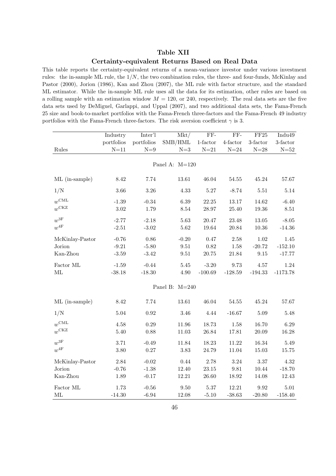## Table XII

#### Certainty-equivalent Returns Based on Real Data

This table reports the certainty-equivalent returns of a mean-variance investor under various investment rules: the in-sample ML rule, the  $1/N$ , the two combination rules, the three- and four-funds, McKinlay and Pastor (2000), Jorion (1986), Kan and Zhou (2007), the ML rule with factor structure, and the standard ML estimator. While the in-sample ML rule uses all the data for its estimation, other rules are based on a rolling sample with an estimation window  $M = 120$ , or 240, respectively. The real data sets are the five data sets used by DeMiguel, Garlappi, and Uppal (2007), and two additional data sets, the Fama-French 25 size and book-to-market portfolios with the Fama-French three-factors and the Fama-French 49 industry portfolios with the Fama-French three-factors. The risk aversion coefficient  $\gamma$  is 3.

|                   | Industry         | Inter'l        | Mkt/           | FF-                      | FF-                 | $\rm FF25$      | Indu49          |
|-------------------|------------------|----------------|----------------|--------------------------|---------------------|-----------------|-----------------|
|                   | portfolios       | portfolios     | SMB/HML        | $1\mbox{-} {\rm factor}$ | $4$ -factor         | $3$ -factor     | $3$ -factor     |
| Rules             | $N=11$           | ${\cal N}{=}9$ | $N=3$          | $N=21$                   | ${\cal N}{=}24$     | ${\cal N}{=}28$ | ${\cal N}{=}52$ |
|                   |                  |                |                |                          |                     |                 |                 |
|                   |                  |                | Panel A: M=120 |                          |                     |                 |                 |
| ML (in-sample)    | 8.42             | 7.74           | 13.61          | 46.04                    | $54.55\,$           | 45.24           | 57.67           |
| 1/N               | 3.66             | 3.26           | 4.33           | $5.27\,$                 | $-8.74$             | $5.51\,$        | 5.14            |
| $w^{\text{CML}}$  | $\textbf{-1.39}$ | $-0.34$        | 6.39           | 22.25                    | 13.17               | 14.62           | $-6.40$         |
| $w^{\text{CKZ}}$  | $3.02\,$         | 1.79           | $8.54\,$       | 28.97                    | 25.40               | 19.36           | $8.51\,$        |
| $w^\mathrm{3F}$   | $-2.77$          | $-2.18$        | 5.63           | 20.47                    | 23.48               | 13.05           | $-8.05$         |
| $w^{4\mathrm{F}}$ | $-2.51$          | $-3.02$        | 5.62           | 19.64                    | 20.84               | 10.36           | $-14.36$        |
| McKinlay-Pastor   | $-0.76$          | 0.86           | $-0.20$        | 0.47                     | 2.58                | 1.02            | 1.45            |
| Jorion            | $-9.21$          | $-5.80$        | 9.51           | 0.82                     | 1.58                | $-20.72$        | $-152.10$       |
| Kan-Zhou          | $-3.59$          | $-3.42$        | $\,9.51$       | $20.75\,$                | 21.84               | $\,9.15$        | $-17.77$        |
| Factor ML         | $-1.59$          | $-0.44$        | 5.45           | $\textbf{-3.20}$         | 9.73                | 4.57            | 1.24            |
| ML                | $-38.18$         | $-18.30$       | 4.90           | $-100.69$                | $-128.59$           | $-194.33$       | $-1173.78$      |
|                   |                  |                |                |                          |                     |                 |                 |
|                   |                  |                | Panel B: M=240 |                          |                     |                 |                 |
| ML (in-sample)    | $8.42\,$         | 7.74           | 13.61          | 46.04                    | $54.55\,$           | 45.24           | 57.67           |
| 1/N               | 5.04             | 0.92           | 3.46           | 4.44                     | $-16.67$            | 5.09            | 5.48            |
| $w^{\text{CML}}$  | $4.58\,$         | 0.29           | 11.96          | 18.73                    | $1.58\,$            | 16.70           | 6.29            |
| $w^{\text{CKZ}}$  | $5.40\,$         | 0.88           | 11.03          | 26.84                    | 17.81               | 20.09           | 16.28           |
| $w^{\rm 3F}$      | 3.71             | $-0.49$        | 11.84          | 18.23                    | 11.22               | 16.34           | 5.49            |
| $w^{4\mathrm{F}}$ | $3.80\,$         | 0.27           | $3.83\,$       | 24.79                    | 11.04               | 15.03           | 15.75           |
| McKinlay-Pastor   | 2.84             | $-0.02$        | $0.44\,$       | 2.78                     | 3.24                | 3.37            | 4.32            |
| Jorion            | $-0.76$          | $-1.38$        | 12.40          | $23.15\,$                | $\boldsymbol{9.81}$ | 10.44           | $-18.70$        |
| Kan-Zhou          | 1.89             | $-0.17$        | 12.21          | 26.60                    | 18.92               | 14.08           | 12.43           |
| Factor ML         | 1.73             | $-0.56$        | 9.50           | $5.37\,$                 | 12.21               | 9.92            | 5.01            |
| ML                | $-14.30$         | $-6.94$        | 12.08          | $-5.10$                  | $-38.63$            | $-20.80$        | $-158.40$       |